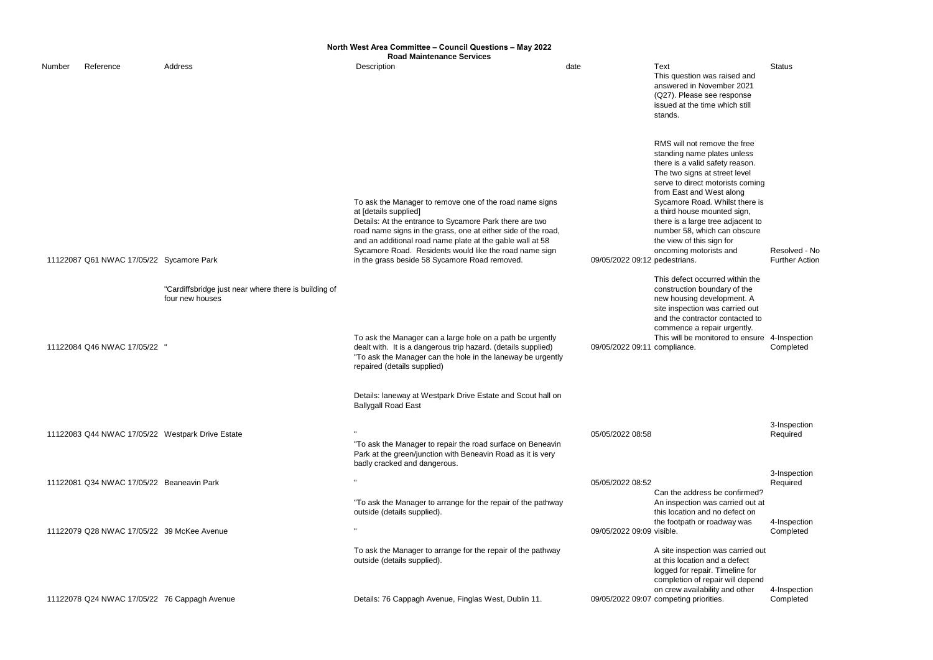|        |                                                  |                                                                         | North West Area Committee - Council Questions - May 2022<br><b>Road Maintenance Services</b>                                                                                                                                                                                                                                                                                         |                               |                                                                                                                                                                                                                                                                                                                                                                                              |                                          |
|--------|--------------------------------------------------|-------------------------------------------------------------------------|--------------------------------------------------------------------------------------------------------------------------------------------------------------------------------------------------------------------------------------------------------------------------------------------------------------------------------------------------------------------------------------|-------------------------------|----------------------------------------------------------------------------------------------------------------------------------------------------------------------------------------------------------------------------------------------------------------------------------------------------------------------------------------------------------------------------------------------|------------------------------------------|
| Number | Reference                                        | Address                                                                 | Description                                                                                                                                                                                                                                                                                                                                                                          | date                          | Text<br>This question was raised and<br>answered in November 2021<br>(Q27). Please see response<br>issued at the time which still<br>stands.                                                                                                                                                                                                                                                 | <b>Status</b>                            |
|        | 11122087 Q61 NWAC 17/05/22 Sycamore Park         |                                                                         | To ask the Manager to remove one of the road name signs<br>at [details supplied]<br>Details: At the entrance to Sycamore Park there are two<br>road name signs in the grass, one at either side of the road,<br>and an additional road name plate at the gable wall at 58<br>Sycamore Road. Residents would like the road name sign<br>in the grass beside 58 Sycamore Road removed. | 09/05/2022 09:12 pedestrians. | RMS will not remove the free<br>standing name plates unless<br>there is a valid safety reason.<br>The two signs at street level<br>serve to direct motorists coming<br>from East and West along<br>Sycamore Road. Whilst there is<br>a third house mounted sign,<br>there is a large tree adjacent to<br>number 58, which can obscure<br>the view of this sign for<br>oncoming motorists and | Resolved - No<br><b>Further Action</b>   |
|        | 11122084 Q46 NWAC 17/05/22                       | "Cardiffsbridge just near where there is building of<br>four new houses | To ask the Manager can a large hole on a path be urgently<br>dealt with. It is a dangerous trip hazard. (details supplied)<br>"To ask the Manager can the hole in the laneway be urgently<br>repaired (details supplied)                                                                                                                                                             | 09/05/2022 09:11 compliance.  | This defect occurred within the<br>construction boundary of the<br>new housing development. A<br>site inspection was carried out<br>and the contractor contacted to<br>commence a repair urgently.<br>This will be monitored to ensure 4-Inspection                                                                                                                                          | Completed                                |
|        |                                                  |                                                                         | Details: laneway at Westpark Drive Estate and Scout hall on<br><b>Ballygall Road East</b>                                                                                                                                                                                                                                                                                            |                               |                                                                                                                                                                                                                                                                                                                                                                                              |                                          |
|        | 11122083 Q44 NWAC 17/05/22 Westpark Drive Estate |                                                                         | "To ask the Manager to repair the road surface on Beneavin<br>Park at the green/junction with Beneavin Road as it is very<br>badly cracked and dangerous.                                                                                                                                                                                                                            | 05/05/2022 08:58              |                                                                                                                                                                                                                                                                                                                                                                                              | 3-Inspection<br>Required                 |
|        | 11122081 Q34 NWAC 17/05/22 Beaneavin Park        |                                                                         | $\mathbf{u}$<br>"To ask the Manager to arrange for the repair of the pathway<br>outside (details supplied).                                                                                                                                                                                                                                                                          | 05/05/2022 08:52              | Can the address be confirmed?<br>An inspection was carried out at<br>this location and no defect on<br>the footpath or roadway was                                                                                                                                                                                                                                                           | 3-Inspection<br>Required<br>4-Inspection |
|        | 11122079 Q28 NWAC 17/05/22 39 McKee Avenue       |                                                                         | $\mathbf{u}$<br>To ask the Manager to arrange for the repair of the pathway<br>outside (details supplied).                                                                                                                                                                                                                                                                           | 09/05/2022 09:09 visible.     | A site inspection was carried out<br>at this location and a defect<br>logged for repair. Timeline for<br>completion of repair will depend<br>on crew availability and other                                                                                                                                                                                                                  | Completed<br>4-Inspection                |
|        | 11122078 Q24 NWAC 17/05/22 76 Cappagh Avenue     |                                                                         | Details: 76 Cappagh Avenue, Finglas West, Dublin 11.                                                                                                                                                                                                                                                                                                                                 |                               | 09/05/2022 09:07 competing priorities.                                                                                                                                                                                                                                                                                                                                                       | Completed                                |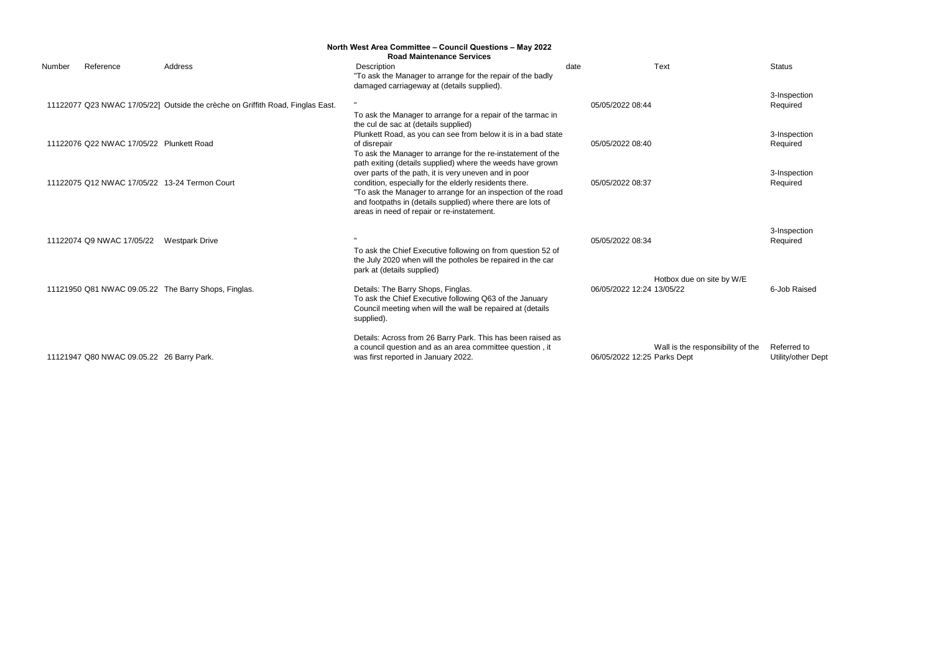3-Inspection Required

3-Inspection Required

3-Inspection Required

|                                           |                                                                                | North West Area Committee - Council Questions - May 2022<br><b>Road Maintenance Services</b>                                                                                                                                                                                                 |                             |                                   |                    |
|-------------------------------------------|--------------------------------------------------------------------------------|----------------------------------------------------------------------------------------------------------------------------------------------------------------------------------------------------------------------------------------------------------------------------------------------|-----------------------------|-----------------------------------|--------------------|
| Reference<br>Number                       | Address                                                                        | Description<br>"To ask the Manager to arrange for the repair of the badly<br>damaged carriageway at (details supplied).                                                                                                                                                                      | date                        | Text                              | <b>Status</b>      |
|                                           | 11122077 Q23 NWAC 17/05/22] Outside the crèche on Griffith Road, Finglas East. | To ask the Manager to arrange for a repair of the tarmac in<br>the cul de sac at (details supplied)                                                                                                                                                                                          | 05/05/2022 08:44            |                                   | 3-Insp<br>Requi    |
| 11122076 Q22 NWAC 17/05/22 Plunkett Road  |                                                                                | Plunkett Road, as you can see from below it is in a bad state<br>of disrepair<br>To ask the Manager to arrange for the re-instatement of the<br>path exiting (details supplied) where the weeds have grown                                                                                   | 05/05/2022 08:40            |                                   | 3-Insp<br>Requi    |
|                                           | 11122075 Q12 NWAC 17/05/22 13-24 Termon Court                                  | over parts of the path, it is very uneven and in poor<br>condition, especially for the elderly residents there.<br>"To ask the Manager to arrange for an inspection of the road<br>and footpaths in (details supplied) where there are lots of<br>areas in need of repair or re-instatement. | 05/05/2022 08:37            |                                   | 3-Insp<br>Requi    |
| 11122074 Q9 NWAC 17/05/22                 | <b>Westpark Drive</b>                                                          | To ask the Chief Executive following on from question 52 of<br>the July 2020 when will the potholes be repaired in the car<br>park at (details supplied)                                                                                                                                     | 05/05/2022 08:34            |                                   | 3-Insp<br>Requi    |
|                                           | 11121950 Q81 NWAC 09.05.22 The Barry Shops, Finglas.                           | Details: The Barry Shops, Finglas.<br>To ask the Chief Executive following Q63 of the January<br>Council meeting when will the wall be repaired at (details<br>supplied).                                                                                                                    | 06/05/2022 12:24 13/05/22   | Hotbox due on site by W/E         | 6-Job              |
| 11121947 Q80 NWAC 09.05.22 26 Barry Park. |                                                                                | Details: Across from 26 Barry Park. This has been raised as<br>a council question and as an area committee question, it<br>was first reported in January 2022.                                                                                                                               | 06/05/2022 12:25 Parks Dept | Wall is the responsibility of the | Referr<br>Utility/ |

Wall is the responsibility of the Referred to Utility/other Dept

3-Inspection Required

6-Job Raised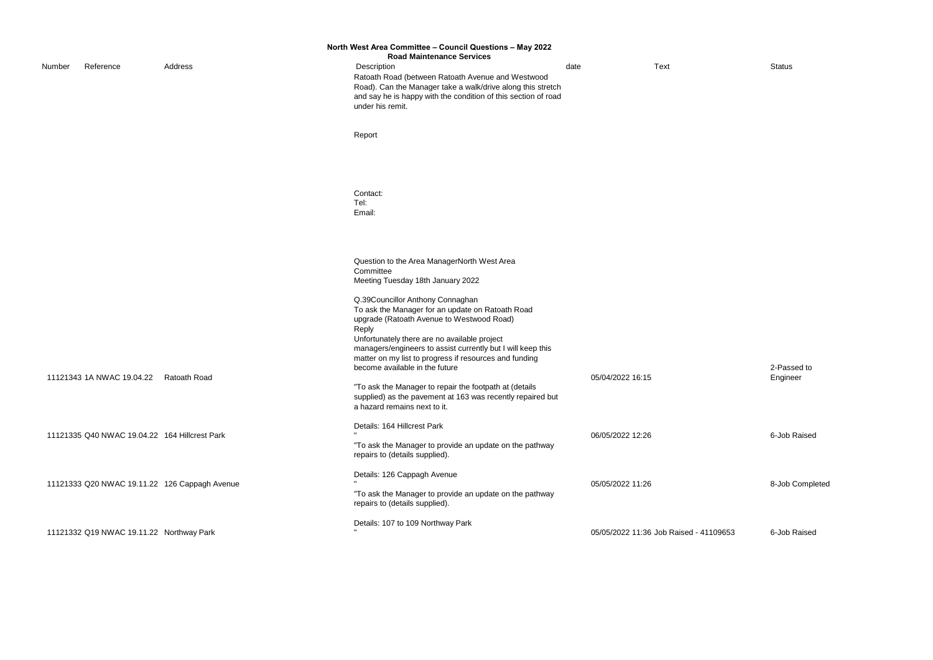|        |                                               |                                               | North West Area Committee - Council Questions - May 2022<br><b>Road Maintenance Services</b>                                                                                                                                                                                                                                                                    |                  |                                        |                 |
|--------|-----------------------------------------------|-----------------------------------------------|-----------------------------------------------------------------------------------------------------------------------------------------------------------------------------------------------------------------------------------------------------------------------------------------------------------------------------------------------------------------|------------------|----------------------------------------|-----------------|
| Number | Reference                                     | Address                                       | Description<br>Ratoath Road (between Ratoath Avenue and Westwood<br>Road). Can the Manager take a walk/drive along this stretch<br>and say he is happy with the condition of this section of road<br>under his remit.                                                                                                                                           | date             | <b>Text</b>                            | <b>Status</b>   |
|        |                                               |                                               | Report                                                                                                                                                                                                                                                                                                                                                          |                  |                                        |                 |
|        |                                               |                                               | Contact:<br>Tel:<br>Email:                                                                                                                                                                                                                                                                                                                                      |                  |                                        |                 |
|        |                                               |                                               | Question to the Area ManagerNorth West Area<br>Committee<br>Meeting Tuesday 18th January 2022                                                                                                                                                                                                                                                                   |                  |                                        |                 |
|        |                                               |                                               | Q.39Councillor Anthony Connaghan<br>To ask the Manager for an update on Ratoath Road<br>upgrade (Ratoath Avenue to Westwood Road)<br>Reply                                                                                                                                                                                                                      |                  |                                        |                 |
|        | 11121343 1A NWAC 19.04.22                     | Ratoath Road                                  | Unfortunately there are no available project<br>managers/engineers to assist currently but I will keep this<br>matter on my list to progress if resources and funding<br>become available in the future<br>"To ask the Manager to repair the footpath at (details<br>supplied) as the pavement at 163 was recently repaired but<br>a hazard remains next to it. | 05/04/2022 16:15 |                                        | 2-Pas<br>Engine |
|        | 11121335 Q40 NWAC 19.04.22 164 Hillcrest Park |                                               | Details: 164 Hillcrest Park<br>"To ask the Manager to provide an update on the pathway<br>repairs to (details supplied).                                                                                                                                                                                                                                        | 06/05/2022 12:26 |                                        | 6-Job           |
|        |                                               | 11121333 Q20 NWAC 19.11.22 126 Cappagh Avenue | Details: 126 Cappagh Avenue<br>"To ask the Manager to provide an update on the pathway<br>repairs to (details supplied).                                                                                                                                                                                                                                        | 05/05/2022 11:26 |                                        | 8-Job           |
|        | 11121332 Q19 NWAC 19.11.22 Northway Park      |                                               | Details: 107 to 109 Northway Park                                                                                                                                                                                                                                                                                                                               |                  | 05/05/2022 11:36 Job Raised - 41109653 | 6-Job           |

2-Passed to Engineer

6-Job Raised

8-Job Completed

d - 41109653 6-Job Raised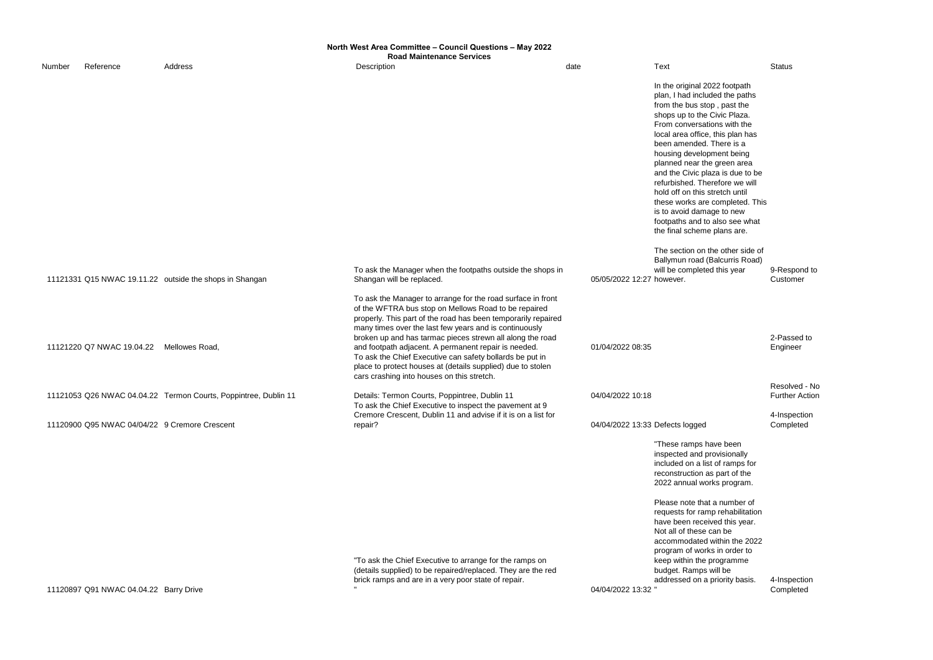9-Respond to Customer

|        |                                               |                                                                 | North West Area Committee - Council Questions - May 2022<br><b>Road Maintenance Services</b>                                                                                                                                                                                                                                                                                                                                                                                                                                                 |                           |                                                                                                                                                                                                                                                                                                                                                                                                                                                                                                                                    |                        |
|--------|-----------------------------------------------|-----------------------------------------------------------------|----------------------------------------------------------------------------------------------------------------------------------------------------------------------------------------------------------------------------------------------------------------------------------------------------------------------------------------------------------------------------------------------------------------------------------------------------------------------------------------------------------------------------------------------|---------------------------|------------------------------------------------------------------------------------------------------------------------------------------------------------------------------------------------------------------------------------------------------------------------------------------------------------------------------------------------------------------------------------------------------------------------------------------------------------------------------------------------------------------------------------|------------------------|
| Number | Reference                                     | Address                                                         | Description                                                                                                                                                                                                                                                                                                                                                                                                                                                                                                                                  | date                      | Text                                                                                                                                                                                                                                                                                                                                                                                                                                                                                                                               | <b>Status</b>          |
|        |                                               |                                                                 |                                                                                                                                                                                                                                                                                                                                                                                                                                                                                                                                              |                           | In the original 2022 footpath<br>plan, I had included the paths<br>from the bus stop, past the<br>shops up to the Civic Plaza.<br>From conversations with the<br>local area office, this plan has<br>been amended. There is a<br>housing development being<br>planned near the green area<br>and the Civic plaza is due to be<br>refurbished. Therefore we will<br>hold off on this stretch until<br>these works are completed. This<br>is to avoid damage to new<br>footpaths and to also see what<br>the final scheme plans are. |                        |
|        |                                               |                                                                 |                                                                                                                                                                                                                                                                                                                                                                                                                                                                                                                                              |                           | The section on the other side of                                                                                                                                                                                                                                                                                                                                                                                                                                                                                                   |                        |
|        |                                               | 11121331 Q15 NWAC 19.11.22 outside the shops in Shangan         | To ask the Manager when the footpaths outside the shops in<br>Shangan will be replaced.                                                                                                                                                                                                                                                                                                                                                                                                                                                      | 05/05/2022 12:27 however. | Ballymun road (Balcurris Road)<br>will be completed this year                                                                                                                                                                                                                                                                                                                                                                                                                                                                      | 9-Res<br>Custo         |
|        | 11121220 Q7 NWAC 19.04.22                     | Mellowes Road,                                                  | To ask the Manager to arrange for the road surface in front<br>of the WFTRA bus stop on Mellows Road to be repaired<br>properly. This part of the road has been temporarily repaired<br>many times over the last few years and is continuously<br>broken up and has tarmac pieces strewn all along the road<br>and footpath adjacent. A permanent repair is needed.<br>To ask the Chief Executive can safety bollards be put in<br>place to protect houses at (details supplied) due to stolen<br>cars crashing into houses on this stretch. | 01/04/2022 08:35          |                                                                                                                                                                                                                                                                                                                                                                                                                                                                                                                                    | 2-Pas<br>Engine        |
|        |                                               | 11121053 Q26 NWAC 04.04.22 Termon Courts, Poppintree, Dublin 11 | Details: Termon Courts, Poppintree, Dublin 11                                                                                                                                                                                                                                                                                                                                                                                                                                                                                                | 04/04/2022 10:18          |                                                                                                                                                                                                                                                                                                                                                                                                                                                                                                                                    | <b>Resol</b><br>Furthe |
|        | 11120900 Q95 NWAC 04/04/22 9 Cremore Crescent |                                                                 | To ask the Chief Executive to inspect the pavement at 9<br>Cremore Crescent, Dublin 11 and advise if it is on a list for<br>repair?                                                                                                                                                                                                                                                                                                                                                                                                          |                           | 04/04/2022 13:33 Defects logged                                                                                                                                                                                                                                                                                                                                                                                                                                                                                                    | 4-Insp<br>Comp         |
|        |                                               |                                                                 |                                                                                                                                                                                                                                                                                                                                                                                                                                                                                                                                              |                           | "These ramps have been<br>inspected and provisionally<br>included on a list of ramps for<br>reconstruction as part of the<br>2022 annual works program.                                                                                                                                                                                                                                                                                                                                                                            |                        |
|        |                                               |                                                                 |                                                                                                                                                                                                                                                                                                                                                                                                                                                                                                                                              |                           | Please note that a number of<br>requests for ramp rehabilitation<br>have been received this year.                                                                                                                                                                                                                                                                                                                                                                                                                                  |                        |

at a number of mp rehabilitation eived this year. Not all of these can be accommodated within the 2022 program of works in order to keep within the programme budget. Ramps will be addressed on a priority basis.

2-Passed to Engineer

Resolved - No Further Action

4-Inspection Completed

11120897 Q91 NWAC 04.04.22 Barry Drive

"To ask the Chief Executive to arrange for the ramps on (details supplied) to be repaired/replaced. They are the red brick ramps and are in a very poor state of repair.

" 04/04/2022 13:32 "

> 4-Inspection Completed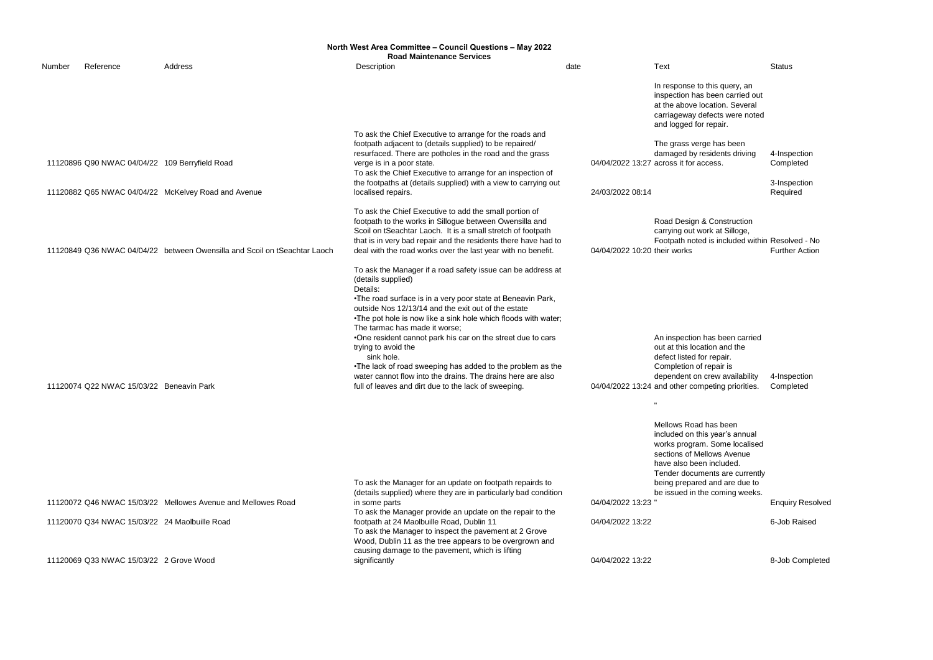4-Inspection Completed

**Construction** ork at Silloge, Footpath noted is included within Resolved - No Further Action

3-Inspection Required

has been carried tion and the repair. repair is crew availability peting priorities. 4-Inspection Completed

|        |                                                |                                                                           | North West Area Committee - Council Questions - May 2022<br><b>Road Maintenance Services</b>                                                                                                                                                                                                                                                                                                                                                                                                                                                                                                                      |                              |                                                                                                                                                                                                                                                                                                                                                                    |                 |
|--------|------------------------------------------------|---------------------------------------------------------------------------|-------------------------------------------------------------------------------------------------------------------------------------------------------------------------------------------------------------------------------------------------------------------------------------------------------------------------------------------------------------------------------------------------------------------------------------------------------------------------------------------------------------------------------------------------------------------------------------------------------------------|------------------------------|--------------------------------------------------------------------------------------------------------------------------------------------------------------------------------------------------------------------------------------------------------------------------------------------------------------------------------------------------------------------|-----------------|
| Number | Reference                                      | Address                                                                   | Description                                                                                                                                                                                                                                                                                                                                                                                                                                                                                                                                                                                                       | date                         | Text                                                                                                                                                                                                                                                                                                                                                               | <b>Status</b>   |
|        |                                                |                                                                           |                                                                                                                                                                                                                                                                                                                                                                                                                                                                                                                                                                                                                   |                              | In response to this query, an<br>inspection has been carried out<br>at the above location. Several<br>carriageway defects were noted<br>and logged for repair.                                                                                                                                                                                                     |                 |
|        | 11120896 Q90 NWAC 04/04/22 109 Berryfield Road |                                                                           | To ask the Chief Executive to arrange for the roads and<br>footpath adjacent to (details supplied) to be repaired/<br>resurfaced. There are potholes in the road and the grass<br>verge is in a poor state.<br>To ask the Chief Executive to arrange for an inspection of                                                                                                                                                                                                                                                                                                                                         |                              | The grass verge has been<br>damaged by residents driving<br>04/04/2022 13:27 across it for access.                                                                                                                                                                                                                                                                 | 4-Insp<br>Comp  |
|        |                                                | 11120882 Q65 NWAC 04/04/22 McKelvey Road and Avenue                       | the footpaths at (details supplied) with a view to carrying out<br>localised repairs.                                                                                                                                                                                                                                                                                                                                                                                                                                                                                                                             | 24/03/2022 08:14             |                                                                                                                                                                                                                                                                                                                                                                    | 3-Insp<br>Requi |
|        |                                                | 11120849 Q36 NWAC 04/04/22 between Owensilla and Scoil on tSeachtar Laoch | To ask the Chief Executive to add the small portion of<br>footpath to the works in Sillogue between Owensilla and<br>Scoil on tSeachtar Laoch. It is a small stretch of footpath<br>that is in very bad repair and the residents there have had to<br>deal with the road works over the last year with no benefit.                                                                                                                                                                                                                                                                                                | 04/04/2022 10:20 their works | Road Design & Construction<br>carrying out work at Silloge,<br>Footpath noted is included within Resolv                                                                                                                                                                                                                                                            | Furthe          |
|        | 11120074 Q22 NWAC 15/03/22 Beneavin Park       |                                                                           | To ask the Manager if a road safety issue can be address at<br>(details supplied)<br>Details:<br>. The road surface is in a very poor state at Beneavin Park,<br>outside Nos 12/13/14 and the exit out of the estate<br>. The pot hole is now like a sink hole which floods with water;<br>The tarmac has made it worse;<br>•One resident cannot park his car on the street due to cars<br>trying to avoid the<br>sink hole.<br>•The lack of road sweeping has added to the problem as the<br>water cannot flow into the drains. The drains here are also<br>full of leaves and dirt due to the lack of sweeping. |                              | An inspection has been carried<br>out at this location and the<br>defect listed for repair.<br>Completion of repair is<br>dependent on crew availability<br>04/04/2022 13:24 and other competing priorities.<br>Mellows Road has been<br>included on this year's annual<br>works program. Some localised<br>sections of Mellows Avenue<br>have also been included. | 4-Insp<br>Comp  |
|        |                                                |                                                                           | To ask the Manager for an update on footpath repairds to                                                                                                                                                                                                                                                                                                                                                                                                                                                                                                                                                          |                              | Tender documents are currently<br>being prepared and are due to                                                                                                                                                                                                                                                                                                    |                 |

has been i year's annual Some localised llows Avenue included. ents are currently and are due to be issued in the coming weeks.

**Enquiry Resolved** 

11120072 Q46 NWAC 15/03/22 Mellowes Avenue and Mellowes Road

(details supplied) where they are in particularly bad condition in some parts 04/04/2022 13:23 To ask the Manager provide an update on the repair to the footpath at 24 Maolbuille Road, Dublin 11 04/04/2022 13:22 6-Job Raised To ask the Manager to inspect the pavement at 2 Grove Wood, Dublin 11 as the tree appears to be overgrown and causing damage to the pavement, which is lifting

11120070 Q34 NWAC 15/03/22 24 Maolbuille Road

11120069 Q33 NWAC 15/03/22 2 Grove Wood

significantly 04/04/2022 13:22 8-Job Completed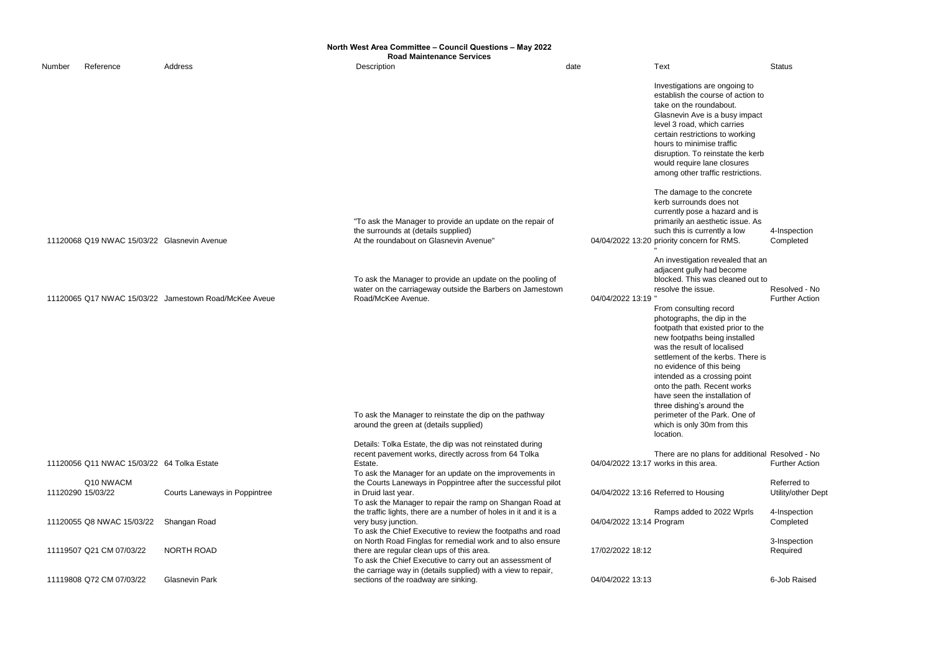|        | North West Area Committee - Council Questions - May 2022<br><b>Road Maintenance Services</b> |                                                       |                                                                                                                                                                                        |                          |                                                                                                                                                                                                                                                                                                                                                             |                                   |  |
|--------|----------------------------------------------------------------------------------------------|-------------------------------------------------------|----------------------------------------------------------------------------------------------------------------------------------------------------------------------------------------|--------------------------|-------------------------------------------------------------------------------------------------------------------------------------------------------------------------------------------------------------------------------------------------------------------------------------------------------------------------------------------------------------|-----------------------------------|--|
| Number | Reference                                                                                    | Address                                               | Description                                                                                                                                                                            | date                     | <b>Text</b>                                                                                                                                                                                                                                                                                                                                                 | <b>Status</b>                     |  |
|        |                                                                                              |                                                       |                                                                                                                                                                                        |                          | Investigations are ongoing to<br>establish the course of action to<br>take on the roundabout.<br>Glasnevin Ave is a busy impact<br>level 3 road, which carries<br>certain restrictions to working<br>hours to minimise traffic<br>disruption. To reinstate the kerb<br>would require lane closures<br>among other traffic restrictions.                     |                                   |  |
|        | 11120068 Q19 NWAC 15/03/22 Glasnevin Avenue                                                  |                                                       | "To ask the Manager to provide an update on the repair of<br>the surrounds at (details supplied)<br>At the roundabout on Glasnevin Avenue"                                             |                          | The damage to the concrete<br>kerb surrounds does not<br>currently pose a hazard and is<br>primarily an aesthetic issue. As<br>such this is currently a low<br>04/04/2022 13:20 priority concern for RMS.                                                                                                                                                   | 4-Inspection<br>Completed         |  |
|        |                                                                                              |                                                       | To ask the Manager to provide an update on the pooling of<br>water on the carriageway outside the Barbers on Jamestown                                                                 |                          | An investigation revealed that an<br>adjacent gully had become<br>blocked. This was cleaned out to<br>resolve the issue.                                                                                                                                                                                                                                    | Resolved - No                     |  |
|        |                                                                                              | 11120065 Q17 NWAC 15/03/22 Jamestown Road/McKee Aveue | Road/McKee Avenue.                                                                                                                                                                     | 04/04/2022 13:19 "       | From consulting record<br>photographs, the dip in the<br>footpath that existed prior to the<br>new footpaths being installed<br>was the result of localised<br>settlement of the kerbs. There is<br>no evidence of this being<br>intended as a crossing point<br>onto the path. Recent works<br>have seen the installation of<br>three dishing's around the | <b>Further Action</b>             |  |
|        |                                                                                              |                                                       | To ask the Manager to reinstate the dip on the pathway<br>around the green at (details supplied)                                                                                       |                          | perimeter of the Park. One of<br>which is only 30m from this<br>location.                                                                                                                                                                                                                                                                                   |                                   |  |
|        | 11120056 Q11 NWAC 15/03/22 64 Tolka Estate                                                   |                                                       | Details: Tolka Estate, the dip was not reinstated during<br>recent pavement works, directly across from 64 Tolka<br>Estate.<br>To ask the Manager for an update on the improvements in |                          | There are no plans for additional Resolved - No<br>04/04/2022 13:17 works in this area.                                                                                                                                                                                                                                                                     | <b>Further Action</b>             |  |
|        | Q10 NWACM<br>11120290 15/03/22                                                               | Courts Laneways in Poppintree                         | the Courts Laneways in Poppintree after the successful pilot<br>in Druid last year.<br>To ask the Manager to repair the ramp on Shangan Road at                                        |                          | 04/04/2022 13:16 Referred to Housing                                                                                                                                                                                                                                                                                                                        | Referred to<br>Utility/other Dept |  |
|        | 11120055 Q8 NWAC 15/03/22                                                                    | Shangan Road                                          | the traffic lights, there are a number of holes in it and it is a<br>very busy junction.<br>To ask the Chief Executive to review the footpaths and road                                | 04/04/2022 13:14 Program | Ramps added to 2022 Wprls                                                                                                                                                                                                                                                                                                                                   | 4-Inspection<br>Completed         |  |
|        | 11119507 Q21 CM 07/03/22                                                                     | <b>NORTH ROAD</b>                                     | on North Road Finglas for remedial work and to also ensure<br>there are regular clean ups of this area.<br>To ask the Chief Executive to carry out an assessment of                    | 17/02/2022 18:12         |                                                                                                                                                                                                                                                                                                                                                             | 3-Inspection<br>Required          |  |
|        | 11119808 Q72 CM 07/03/22                                                                     | <b>Glasnevin Park</b>                                 | the carriage way in (details supplied) with a view to repair,<br>sections of the roadway are sinking.                                                                                  | 04/04/2022 13:13         |                                                                                                                                                                                                                                                                                                                                                             | 6-Job Raised                      |  |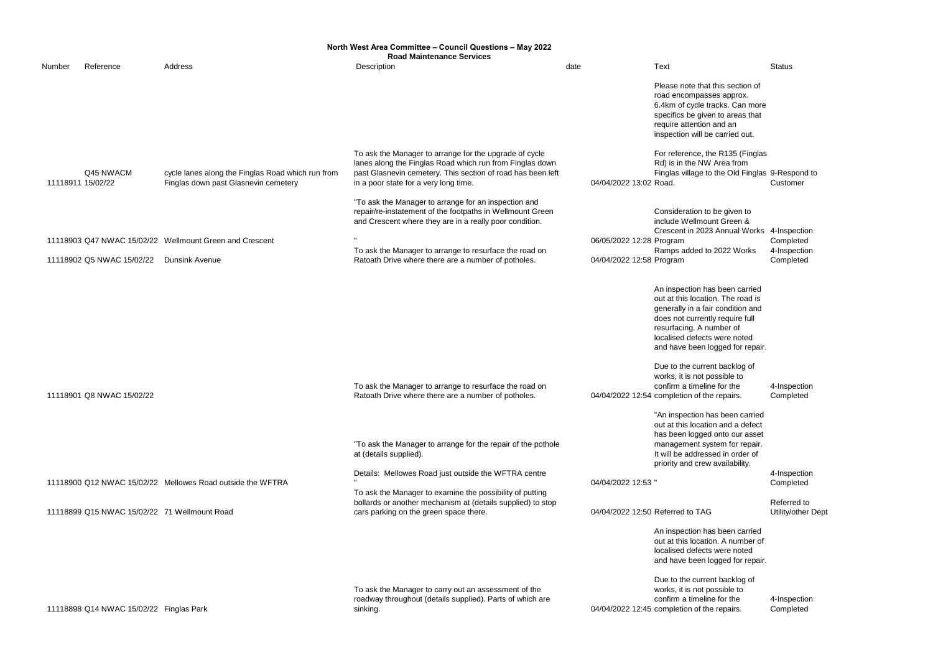|                   |                                              |                                                                                           | North West Area Committee - Council Questions - May 2022<br><b>Road Maintenance Services</b>                                                                                                                               |                          |                                                                                                                                                                                                                                                                                                                                                                                           |                                   |
|-------------------|----------------------------------------------|-------------------------------------------------------------------------------------------|----------------------------------------------------------------------------------------------------------------------------------------------------------------------------------------------------------------------------|--------------------------|-------------------------------------------------------------------------------------------------------------------------------------------------------------------------------------------------------------------------------------------------------------------------------------------------------------------------------------------------------------------------------------------|-----------------------------------|
| Number            | Reference                                    | Address                                                                                   | Description                                                                                                                                                                                                                | date                     | Text                                                                                                                                                                                                                                                                                                                                                                                      | <b>Status</b>                     |
|                   |                                              |                                                                                           |                                                                                                                                                                                                                            |                          | Please note that this section of<br>road encompasses approx.<br>6.4km of cycle tracks. Can more<br>specifics be given to areas that<br>require attention and an<br>inspection will be carried out.                                                                                                                                                                                        |                                   |
| 11118911 15/02/22 | Q45 NWACM                                    | cycle lanes along the Finglas Road which run from<br>Finglas down past Glasnevin cemetery | To ask the Manager to arrange for the upgrade of cycle<br>lanes along the Finglas Road which run from Finglas down<br>past Glasnevin cemetery. This section of road has been left<br>in a poor state for a very long time. | 04/04/2022 13:02 Road.   | For reference, the R135 (Finglas<br>Rd) is in the NW Area from<br>Finglas village to the Old Finglas 9-Respond to                                                                                                                                                                                                                                                                         | Customer                          |
|                   |                                              |                                                                                           | "To ask the Manager to arrange for an inspection and<br>repair/re-instatement of the footpaths in Wellmount Green<br>and Crescent where they are in a really poor condition.                                               |                          | Consideration to be given to<br>include Wellmount Green &<br>Crescent in 2023 Annual Works 4-Inspection                                                                                                                                                                                                                                                                                   |                                   |
|                   |                                              | 11118903 Q47 NWAC 15/02/22 Wellmount Green and Crescent                                   |                                                                                                                                                                                                                            | 06/05/2022 12:28 Program |                                                                                                                                                                                                                                                                                                                                                                                           | Completed                         |
|                   | 11118902 Q5 NWAC 15/02/22                    | <b>Dunsink Avenue</b>                                                                     | To ask the Manager to arrange to resurface the road on<br>Ratoath Drive where there are a number of potholes.                                                                                                              | 04/04/2022 12:58 Program | Ramps added to 2022 Works                                                                                                                                                                                                                                                                                                                                                                 | 4-Inspection<br>Completed         |
|                   | 11118901 Q8 NWAC 15/02/22                    |                                                                                           | To ask the Manager to arrange to resurface the road on<br>Ratoath Drive where there are a number of potholes.                                                                                                              |                          | An inspection has been carried<br>out at this location. The road is<br>generally in a fair condition and<br>does not currently require full<br>resurfacing. A number of<br>localised defects were noted<br>and have been logged for repair.<br>Due to the current backlog of<br>works, it is not possible to<br>confirm a timeline for the<br>04/04/2022 12:54 completion of the repairs. | 4-Inspection<br>Completed         |
|                   |                                              |                                                                                           | "To ask the Manager to arrange for the repair of the pothole<br>at (details supplied).                                                                                                                                     |                          | "An inspection has been carried<br>out at this location and a defect<br>has been logged onto our asset<br>management system for repair.<br>It will be addressed in order of<br>priority and crew availability.                                                                                                                                                                            |                                   |
|                   |                                              | 11118900 Q12 NWAC 15/02/22 Mellowes Road outside the WFTRA                                | Details: Mellowes Road just outside the WFTRA centre<br>To ask the Manager to examine the possibility of putting                                                                                                           | 04/04/2022 12:53 "       |                                                                                                                                                                                                                                                                                                                                                                                           | 4-Inspection<br>Completed         |
|                   | 11118899 Q15 NWAC 15/02/22 71 Wellmount Road |                                                                                           | bollards or another mechanism at (details supplied) to stop<br>cars parking on the green space there.                                                                                                                      |                          | 04/04/2022 12:50 Referred to TAG                                                                                                                                                                                                                                                                                                                                                          | Referred to<br>Utility/other Dept |
|                   |                                              |                                                                                           |                                                                                                                                                                                                                            |                          | An inspection has been carried<br>out at this location. A number of<br>localised defects were noted<br>and have been logged for repair.                                                                                                                                                                                                                                                   |                                   |
|                   | 11118898 Q14 NWAC 15/02/22 Finglas Park      |                                                                                           | To ask the Manager to carry out an assessment of the<br>roadway throughout (details supplied). Parts of which are<br>sinking.                                                                                              |                          | Due to the current backlog of<br>works, it is not possible to<br>confirm a timeline for the<br>04/04/2022 12:45 completion of the repairs.                                                                                                                                                                                                                                                | 4-Inspection<br>Completed         |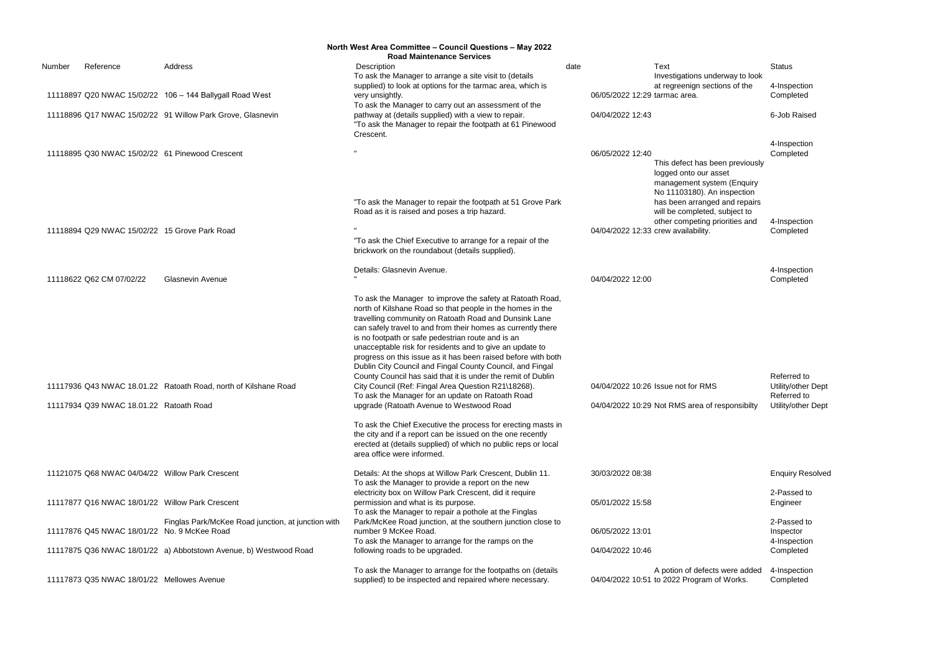|        |                                                 |                                                                   | North West Area Committee - Council Questions - May 2022<br><b>Road Maintenance Services</b>                                                                                                                                                                                                                                                                                                                                                                                                                                                                                                                                                                              |                                     |                                                                                                                       |                                                  |
|--------|-------------------------------------------------|-------------------------------------------------------------------|---------------------------------------------------------------------------------------------------------------------------------------------------------------------------------------------------------------------------------------------------------------------------------------------------------------------------------------------------------------------------------------------------------------------------------------------------------------------------------------------------------------------------------------------------------------------------------------------------------------------------------------------------------------------------|-------------------------------------|-----------------------------------------------------------------------------------------------------------------------|--------------------------------------------------|
| Number | Reference                                       | Address                                                           | Description<br>To ask the Manager to arrange a site visit to (details                                                                                                                                                                                                                                                                                                                                                                                                                                                                                                                                                                                                     | date                                | Text<br>Investigations underway to look                                                                               | <b>Status</b>                                    |
|        |                                                 | 11118897 Q20 NWAC 15/02/22 106 - 144 Ballygall Road West          | supplied) to look at options for the tarmac area, which is<br>very unsightly.                                                                                                                                                                                                                                                                                                                                                                                                                                                                                                                                                                                             | 06/05/2022 12:29 tarmac area.       | at regreenign sections of the                                                                                         | 4-Inspection<br>Completed                        |
|        |                                                 | 11118896 Q17 NWAC 15/02/22 91 Willow Park Grove, Glasnevin        | To ask the Manager to carry out an assessment of the<br>pathway at (details supplied) with a view to repair.<br>"To ask the Manager to repair the footpath at 61 Pinewood<br>Crescent.                                                                                                                                                                                                                                                                                                                                                                                                                                                                                    | 04/04/2022 12:43                    |                                                                                                                       | 6-Job Raised                                     |
|        |                                                 | 11118895 Q30 NWAC 15/02/22 61 Pinewood Crescent                   |                                                                                                                                                                                                                                                                                                                                                                                                                                                                                                                                                                                                                                                                           | 06/05/2022 12:40                    | This defect has been previously<br>logged onto our asset<br>management system (Enquiry<br>No 11103180). An inspection | 4-Inspection<br>Completed                        |
|        |                                                 |                                                                   | "To ask the Manager to repair the footpath at 51 Grove Park<br>Road as it is raised and poses a trip hazard.                                                                                                                                                                                                                                                                                                                                                                                                                                                                                                                                                              |                                     | has been arranged and repairs<br>will be completed, subject to<br>other competing priorities and                      | 4-Inspection                                     |
|        | 11118894 Q29 NWAC 15/02/22 15 Grove Park Road   |                                                                   | "To ask the Chief Executive to arrange for a repair of the<br>brickwork on the roundabout (details supplied).                                                                                                                                                                                                                                                                                                                                                                                                                                                                                                                                                             | 04/04/2022 12:33 crew availability. |                                                                                                                       | Completed                                        |
|        | 11118622 Q62 CM 07/02/22                        | <b>Glasnevin Avenue</b>                                           | Details: Glasnevin Avenue.                                                                                                                                                                                                                                                                                                                                                                                                                                                                                                                                                                                                                                                | 04/04/2022 12:00                    |                                                                                                                       | 4-Inspection<br>Completed                        |
|        |                                                 | 11117936 Q43 NWAC 18.01.22 Ratoath Road, north of Kilshane Road   | To ask the Manager to improve the safety at Ratoath Road,<br>north of Kilshane Road so that people in the homes in the<br>travelling community on Ratoath Road and Dunsink Lane<br>can safely travel to and from their homes as currently there<br>is no footpath or safe pedestrian route and is an<br>unacceptable risk for residents and to give an update to<br>progress on this issue as it has been raised before with both<br>Dublin City Council and Fingal County Council, and Fingal<br>County Council has said that it is under the remit of Dublin<br>City Council (Ref: Fingal Area Question R21\18268).<br>To ask the Manager for an update on Ratoath Road |                                     | 04/04/2022 10:26 Issue not for RMS                                                                                    | Referred to<br>Utility/other Dept<br>Referred to |
|        | 11117934 Q39 NWAC 18.01.22 Ratoath Road         |                                                                   | upgrade (Ratoath Avenue to Westwood Road                                                                                                                                                                                                                                                                                                                                                                                                                                                                                                                                                                                                                                  |                                     | 04/04/2022 10:29 Not RMS area of responsibilty                                                                        | Utility/other Dept                               |
|        |                                                 |                                                                   | To ask the Chief Executive the process for erecting masts in<br>the city and if a report can be issued on the one recently<br>erected at (details supplied) of which no public reps or local<br>area office were informed.                                                                                                                                                                                                                                                                                                                                                                                                                                                |                                     |                                                                                                                       |                                                  |
|        | 11121075 Q68 NWAC 04/04/22 Willow Park Crescent |                                                                   | Details: At the shops at Willow Park Crescent, Dublin 11.<br>To ask the Manager to provide a report on the new                                                                                                                                                                                                                                                                                                                                                                                                                                                                                                                                                            | 30/03/2022 08:38                    |                                                                                                                       | <b>Enquiry Resolved</b>                          |
|        | 11117877 Q16 NWAC 18/01/22 Willow Park Crescent |                                                                   | electricity box on Willow Park Crescent, did it require<br>permission and what is its purpose.<br>To ask the Manager to repair a pothole at the Finglas                                                                                                                                                                                                                                                                                                                                                                                                                                                                                                                   | 05/01/2022 15:58                    |                                                                                                                       | 2-Passed to<br>Engineer                          |
|        | 11117876 Q45 NWAC 18/01/22 No. 9 McKee Road     | Finglas Park/McKee Road junction, at junction with                | Park/McKee Road junction, at the southern junction close to<br>number 9 McKee Road.<br>To ask the Manager to arrange for the ramps on the                                                                                                                                                                                                                                                                                                                                                                                                                                                                                                                                 | 06/05/2022 13:01                    |                                                                                                                       | 2-Passed to<br>Inspector<br>4-Inspection         |
|        |                                                 | 11117875 Q36 NWAC 18/01/22 a) Abbotstown Avenue, b) Westwood Road | following roads to be upgraded.                                                                                                                                                                                                                                                                                                                                                                                                                                                                                                                                                                                                                                           | 04/04/2022 10:46                    |                                                                                                                       | Completed                                        |
|        | 11117873 Q35 NWAC 18/01/22 Mellowes Avenue      |                                                                   | To ask the Manager to arrange for the footpaths on (details<br>supplied) to be inspected and repaired where necessary.                                                                                                                                                                                                                                                                                                                                                                                                                                                                                                                                                    |                                     | A potion of defects were added<br>04/04/2022 10:51 to 2022 Program of Works.                                          | 4-Inspection<br>Completed                        |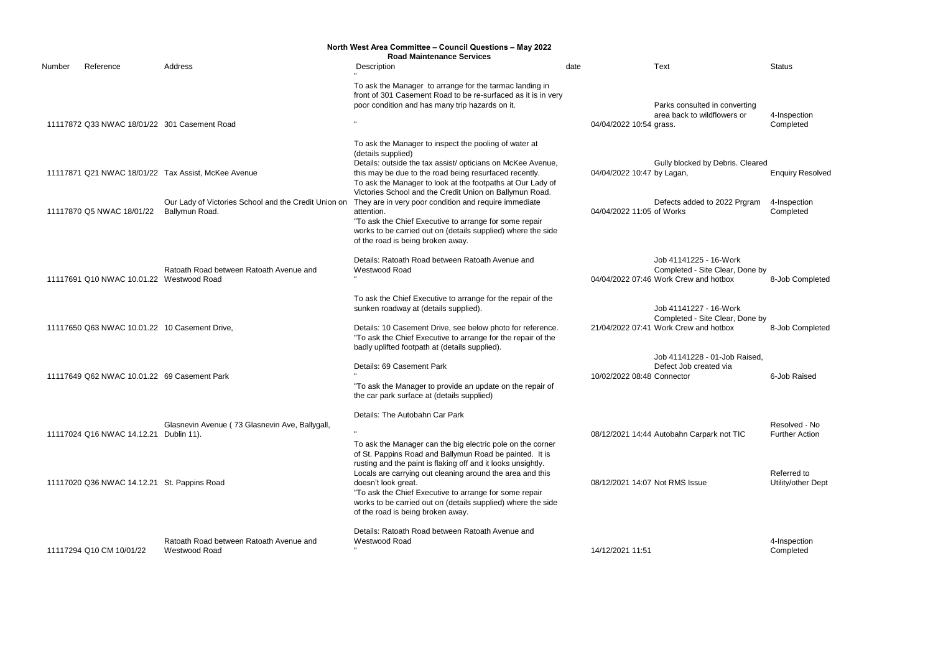|        |                                               |                                                                                                                               | North West Area Committee - Council Questions - May 2022                                                                                                                                                                                                                                                                                                                                                                                                                                                                                                            |      |                           |                                                                                                    |                                                      |
|--------|-----------------------------------------------|-------------------------------------------------------------------------------------------------------------------------------|---------------------------------------------------------------------------------------------------------------------------------------------------------------------------------------------------------------------------------------------------------------------------------------------------------------------------------------------------------------------------------------------------------------------------------------------------------------------------------------------------------------------------------------------------------------------|------|---------------------------|----------------------------------------------------------------------------------------------------|------------------------------------------------------|
| Number | Reference                                     | Address                                                                                                                       | <b>Road Maintenance Services</b><br>Description                                                                                                                                                                                                                                                                                                                                                                                                                                                                                                                     | date |                           | Text                                                                                               | <b>Status</b>                                        |
|        | 11117872 Q33 NWAC 18/01/22 301 Casement Road  |                                                                                                                               | To ask the Manager to arrange for the tarmac landing in<br>front of 301 Casement Road to be re-surfaced as it is in very<br>poor condition and has many trip hazards on it.                                                                                                                                                                                                                                                                                                                                                                                         |      | 04/04/2022 10:54 grass.   | Parks consulted in converting<br>area back to wildflowers or                                       | 4-Inspection<br>Completed                            |
|        | 11117870 Q5 NWAC 18/01/22                     | 11117871 Q21 NWAC 18/01/22 Tax Assist, McKee Avenue<br>Our Lady of Victories School and the Credit Union on<br>Ballymun Road. | To ask the Manager to inspect the pooling of water at<br>(details supplied)<br>Details: outside the tax assist/ opticians on McKee Avenue,<br>this may be due to the road being resurfaced recently.<br>To ask the Manager to look at the footpaths at Our Lady of<br>Victories School and the Credit Union on Ballymun Road.<br>They are in very poor condition and require immediate<br>attention.<br>"To ask the Chief Executive to arrange for some repair<br>works to be carried out on (details supplied) where the side<br>of the road is being broken away. |      | 04/04/2022 11:05 of Works | Gully blocked by Debris. Cleared<br>04/04/2022 10:47 by Lagan,<br>Defects added to 2022 Prgram     | <b>Enquiry Resolved</b><br>4-Inspection<br>Completed |
|        | 11117691 Q10 NWAC 10.01.22 Westwood Road      | Ratoath Road between Ratoath Avenue and                                                                                       | Details: Ratoath Road between Ratoath Avenue and<br>Westwood Road                                                                                                                                                                                                                                                                                                                                                                                                                                                                                                   |      |                           | Job 41141225 - 16-Work<br>Completed - Site Clear, Done by<br>04/04/2022 07:46 Work Crew and hotbox | 8-Job Completed                                      |
|        | 11117650 Q63 NWAC 10.01.22 10 Casement Drive, |                                                                                                                               | To ask the Chief Executive to arrange for the repair of the<br>sunken roadway at (details supplied).<br>Details: 10 Casement Drive, see below photo for reference.<br>"To ask the Chief Executive to arrange for the repair of the<br>badly uplifted footpath at (details supplied).                                                                                                                                                                                                                                                                                |      |                           | Job 41141227 - 16-Work<br>Completed - Site Clear, Done by<br>21/04/2022 07:41 Work Crew and hotbox | 8-Job Completed                                      |
|        | 11117649 Q62 NWAC 10.01.22 69 Casement Park   |                                                                                                                               | Details: 69 Casement Park<br>"To ask the Manager to provide an update on the repair of<br>the car park surface at (details supplied)                                                                                                                                                                                                                                                                                                                                                                                                                                |      |                           | Job 41141228 - 01-Job Raised,<br>Defect Job created via<br>10/02/2022 08:48 Connector              | 6-Job Raised                                         |
|        | 11117024 Q16 NWAC 14.12.21 Dublin 11).        | Glasnevin Avenue (73 Glasnevin Ave, Ballygall,                                                                                | Details: The Autobahn Car Park<br>To ask the Manager can the big electric pole on the corner<br>of St. Pappins Road and Ballymun Road be painted. It is                                                                                                                                                                                                                                                                                                                                                                                                             |      |                           | 08/12/2021 14:44 Autobahn Carpark not TIC                                                          | Resolved - No<br><b>Further Action</b>               |
|        | 11117020 Q36 NWAC 14.12.21 St. Pappins Road   |                                                                                                                               | rusting and the paint is flaking off and it looks unsightly.<br>Locals are carrying out cleaning around the area and this<br>doesn't look great.<br>"To ask the Chief Executive to arrange for some repair<br>works to be carried out on (details supplied) where the side<br>of the road is being broken away.                                                                                                                                                                                                                                                     |      |                           | 08/12/2021 14:07 Not RMS Issue                                                                     | Referred to<br>Utility/other Dept                    |
|        | 11117294 Q10 CM 10/01/22                      | Ratoath Road between Ratoath Avenue and<br>Westwood Road                                                                      | Details: Ratoath Road between Ratoath Avenue and<br>Westwood Road                                                                                                                                                                                                                                                                                                                                                                                                                                                                                                   |      | 14/12/2021 11:51          |                                                                                                    | 4-Inspection<br>Completed                            |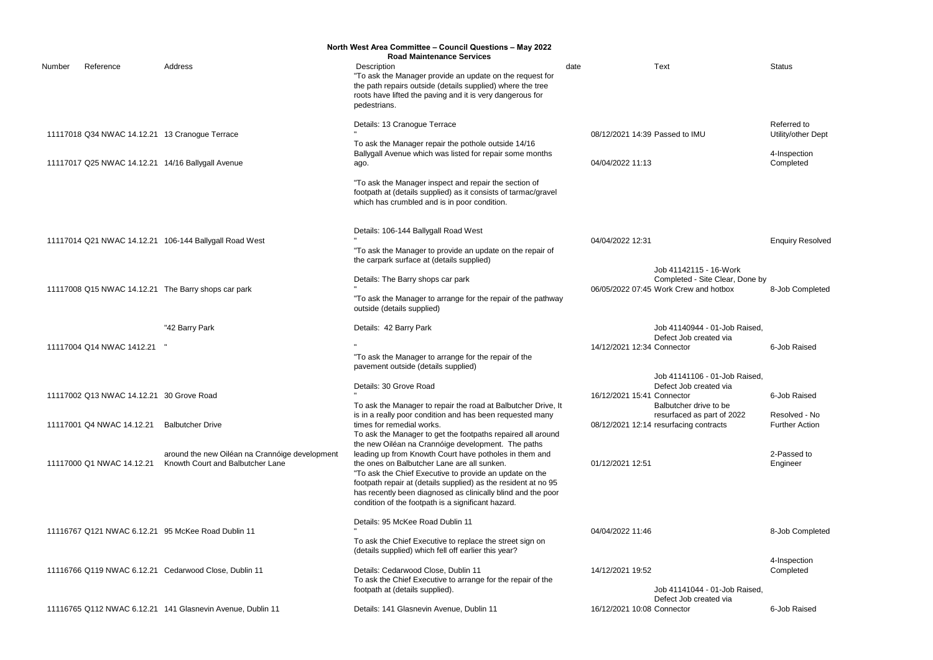4-Inspection **Completed** 

**Enquiry Resolved** 

- 16-Work lite Clear, Done by<br>id hotbox 8-Job Completed

6-Job Raised

6-Job Raised

Referred to Utility/other Dept

ve to be part of 2022 ntracts Resolved - No Further Action

|        |                                          |                                                                                    | North West Area Committee - Council Questions - May 2022                                                                                                                                                                                                                                                                                                 |                                |                                                                                                    |                    |
|--------|------------------------------------------|------------------------------------------------------------------------------------|----------------------------------------------------------------------------------------------------------------------------------------------------------------------------------------------------------------------------------------------------------------------------------------------------------------------------------------------------------|--------------------------------|----------------------------------------------------------------------------------------------------|--------------------|
| Number | Reference                                | Address                                                                            | <b>Road Maintenance Services</b><br>Description<br>"To ask the Manager provide an update on the request for<br>the path repairs outside (details supplied) where the tree<br>roots have lifted the paving and it is very dangerous for<br>pedestrians.                                                                                                   | date                           | Text                                                                                               | Status             |
|        |                                          | 11117018 Q34 NWAC 14.12.21 13 Cranogue Terrace                                     | Details: 13 Cranogue Terrace<br>To ask the Manager repair the pothole outside 14/16                                                                                                                                                                                                                                                                      | 08/12/2021 14:39 Passed to IMU |                                                                                                    | Referr<br>Utility/ |
|        |                                          | 11117017 Q25 NWAC 14.12.21 14/16 Ballygall Avenue                                  | Ballygall Avenue which was listed for repair some months<br>ago.                                                                                                                                                                                                                                                                                         | 04/04/2022 11:13               |                                                                                                    | 4-Insp<br>Comp     |
|        |                                          |                                                                                    | "To ask the Manager inspect and repair the section of<br>footpath at (details supplied) as it consists of tarmac/gravel<br>which has crumbled and is in poor condition.                                                                                                                                                                                  |                                |                                                                                                    |                    |
|        |                                          | 11117014 Q21 NWAC 14.12.21 106-144 Ballygall Road West                             | Details: 106-144 Ballygall Road West<br>"To ask the Manager to provide an update on the repair of<br>the carpark surface at (details supplied)                                                                                                                                                                                                           | 04/04/2022 12:31               |                                                                                                    | Enqui              |
|        |                                          | 11117008 Q15 NWAC 14.12.21 The Barry shops car park                                | Details: The Barry shops car park<br>"To ask the Manager to arrange for the repair of the pathway<br>outside (details supplied)                                                                                                                                                                                                                          |                                | Job 41142115 - 16-Work<br>Completed - Site Clear, Done by<br>06/05/2022 07:45 Work Crew and hotbox | 8-Job              |
|        |                                          | "42 Barry Park                                                                     | Details: 42 Barry Park                                                                                                                                                                                                                                                                                                                                   |                                | Job 41140944 - 01-Job Raised,<br>Defect Job created via                                            |                    |
|        | 11117004 Q14 NWAC 1412.21 "              |                                                                                    | "To ask the Manager to arrange for the repair of the<br>pavement outside (details supplied)                                                                                                                                                                                                                                                              | 14/12/2021 12:34 Connector     |                                                                                                    | 6-Job              |
|        | 11117002 Q13 NWAC 14.12.21 30 Grove Road |                                                                                    | Details: 30 Grove Road<br>To ask the Manager to repair the road at Balbutcher Drive, It                                                                                                                                                                                                                                                                  | 16/12/2021 15:41 Connector     | Job 41141106 - 01-Job Raised,<br>Defect Job created via<br>Balbutcher drive to be                  | 6-Job              |
|        | 11117001 Q4 NWAC 14.12.21                | <b>Balbutcher Drive</b>                                                            | is in a really poor condition and has been requested many<br>times for remedial works.<br>To ask the Manager to get the footpaths repaired all around<br>the new Oiléan na Crannóige development. The paths                                                                                                                                              |                                | resurfaced as part of 2022<br>08/12/2021 12:14 resurfacing contracts                               | Resol<br>Furthe    |
|        | 11117000 Q1 NWAC 14.12.21                | around the new Oiléan na Crannóige development<br>Knowth Court and Balbutcher Lane | leading up from Knowth Court have potholes in them and<br>the ones on Balbutcher Lane are all sunken.<br>"To ask the Chief Executive to provide an update on the<br>footpath repair at (details supplied) as the resident at no 95<br>has recently been diagnosed as clinically blind and the poor<br>condition of the footpath is a significant hazard. | 01/12/2021 12:51               |                                                                                                    | 2-Pas<br>Engine    |
|        |                                          | 11116767 Q121 NWAC 6.12.21 95 McKee Road Dublin 11                                 | Details: 95 McKee Road Dublin 11                                                                                                                                                                                                                                                                                                                         | 04/04/2022 11:46               |                                                                                                    | 8-Job              |
|        |                                          |                                                                                    | To ask the Chief Executive to replace the street sign on<br>(details supplied) which fell off earlier this year?                                                                                                                                                                                                                                         |                                |                                                                                                    |                    |
|        |                                          | 11116766 Q119 NWAC 6.12.21 Cedarwood Close, Dublin 11                              | Details: Cedarwood Close, Dublin 11<br>To ask the Chief Executive to arrange for the repair of the<br>footpath at (details supplied).                                                                                                                                                                                                                    | 14/12/2021 19:52               | Job 41141044 - 01-Job Raised,                                                                      | 4-Insp<br>Comp     |
|        |                                          | 11116765 Q112 NWAC 6.12.21 141 Glasnevin Avenue, Dublin 11                         | Details: 141 Glasnevin Avenue, Dublin 11                                                                                                                                                                                                                                                                                                                 | 16/12/2021 10:08 Connector     | Defect Job created via                                                                             | 6-Job              |

2-Passed to Engineer

8-Job Completed

4-Inspection Completed

6-Job Raised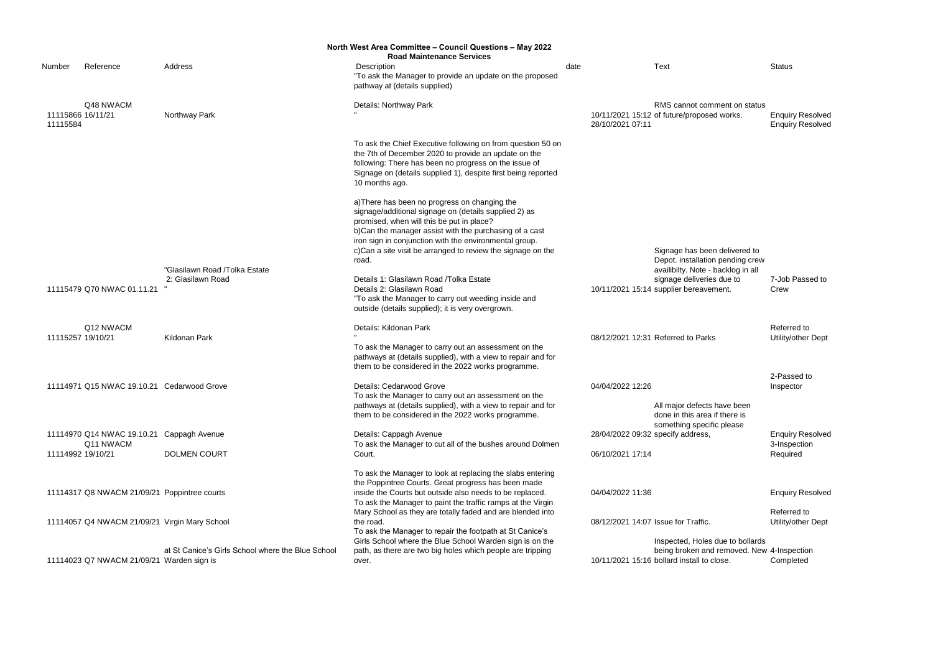|           |                                                                                                                                 |                                                                                                                                                                                                                                                                                                                               |                                                                                                                                                                                                                                                                                                                                                                                                                                                                                                                                                                                                                                                                                                                                                                                                                                                                                                                                                                                                                                                                                                                                                                                                                                                                                                                                                                                                                                                                                                                                             |      |                                                                              | <b>Status</b>                                                                                                                                                                                                                                                                                                                                                                                                                                                                                                                                                |
|-----------|---------------------------------------------------------------------------------------------------------------------------------|-------------------------------------------------------------------------------------------------------------------------------------------------------------------------------------------------------------------------------------------------------------------------------------------------------------------------------|---------------------------------------------------------------------------------------------------------------------------------------------------------------------------------------------------------------------------------------------------------------------------------------------------------------------------------------------------------------------------------------------------------------------------------------------------------------------------------------------------------------------------------------------------------------------------------------------------------------------------------------------------------------------------------------------------------------------------------------------------------------------------------------------------------------------------------------------------------------------------------------------------------------------------------------------------------------------------------------------------------------------------------------------------------------------------------------------------------------------------------------------------------------------------------------------------------------------------------------------------------------------------------------------------------------------------------------------------------------------------------------------------------------------------------------------------------------------------------------------------------------------------------------------|------|------------------------------------------------------------------------------|--------------------------------------------------------------------------------------------------------------------------------------------------------------------------------------------------------------------------------------------------------------------------------------------------------------------------------------------------------------------------------------------------------------------------------------------------------------------------------------------------------------------------------------------------------------|
|           |                                                                                                                                 |                                                                                                                                                                                                                                                                                                                               |                                                                                                                                                                                                                                                                                                                                                                                                                                                                                                                                                                                                                                                                                                                                                                                                                                                                                                                                                                                                                                                                                                                                                                                                                                                                                                                                                                                                                                                                                                                                             |      |                                                                              |                                                                                                                                                                                                                                                                                                                                                                                                                                                                                                                                                              |
|           |                                                                                                                                 | pathway at (details supplied)                                                                                                                                                                                                                                                                                                 |                                                                                                                                                                                                                                                                                                                                                                                                                                                                                                                                                                                                                                                                                                                                                                                                                                                                                                                                                                                                                                                                                                                                                                                                                                                                                                                                                                                                                                                                                                                                             |      |                                                                              |                                                                                                                                                                                                                                                                                                                                                                                                                                                                                                                                                              |
| Q48 NWACM |                                                                                                                                 | Details: Northway Park                                                                                                                                                                                                                                                                                                        |                                                                                                                                                                                                                                                                                                                                                                                                                                                                                                                                                                                                                                                                                                                                                                                                                                                                                                                                                                                                                                                                                                                                                                                                                                                                                                                                                                                                                                                                                                                                             |      |                                                                              |                                                                                                                                                                                                                                                                                                                                                                                                                                                                                                                                                              |
|           | Northway Park                                                                                                                   |                                                                                                                                                                                                                                                                                                                               |                                                                                                                                                                                                                                                                                                                                                                                                                                                                                                                                                                                                                                                                                                                                                                                                                                                                                                                                                                                                                                                                                                                                                                                                                                                                                                                                                                                                                                                                                                                                             |      |                                                                              | <b>Enquiry Resolved</b>                                                                                                                                                                                                                                                                                                                                                                                                                                                                                                                                      |
|           |                                                                                                                                 |                                                                                                                                                                                                                                                                                                                               |                                                                                                                                                                                                                                                                                                                                                                                                                                                                                                                                                                                                                                                                                                                                                                                                                                                                                                                                                                                                                                                                                                                                                                                                                                                                                                                                                                                                                                                                                                                                             |      |                                                                              | <b>Enquiry Resolved</b>                                                                                                                                                                                                                                                                                                                                                                                                                                                                                                                                      |
|           |                                                                                                                                 | To ask the Chief Executive following on from question 50 on                                                                                                                                                                                                                                                                   |                                                                                                                                                                                                                                                                                                                                                                                                                                                                                                                                                                                                                                                                                                                                                                                                                                                                                                                                                                                                                                                                                                                                                                                                                                                                                                                                                                                                                                                                                                                                             |      |                                                                              |                                                                                                                                                                                                                                                                                                                                                                                                                                                                                                                                                              |
|           |                                                                                                                                 |                                                                                                                                                                                                                                                                                                                               |                                                                                                                                                                                                                                                                                                                                                                                                                                                                                                                                                                                                                                                                                                                                                                                                                                                                                                                                                                                                                                                                                                                                                                                                                                                                                                                                                                                                                                                                                                                                             |      |                                                                              |                                                                                                                                                                                                                                                                                                                                                                                                                                                                                                                                                              |
|           |                                                                                                                                 |                                                                                                                                                                                                                                                                                                                               |                                                                                                                                                                                                                                                                                                                                                                                                                                                                                                                                                                                                                                                                                                                                                                                                                                                                                                                                                                                                                                                                                                                                                                                                                                                                                                                                                                                                                                                                                                                                             |      |                                                                              |                                                                                                                                                                                                                                                                                                                                                                                                                                                                                                                                                              |
|           |                                                                                                                                 |                                                                                                                                                                                                                                                                                                                               |                                                                                                                                                                                                                                                                                                                                                                                                                                                                                                                                                                                                                                                                                                                                                                                                                                                                                                                                                                                                                                                                                                                                                                                                                                                                                                                                                                                                                                                                                                                                             |      |                                                                              |                                                                                                                                                                                                                                                                                                                                                                                                                                                                                                                                                              |
|           |                                                                                                                                 |                                                                                                                                                                                                                                                                                                                               |                                                                                                                                                                                                                                                                                                                                                                                                                                                                                                                                                                                                                                                                                                                                                                                                                                                                                                                                                                                                                                                                                                                                                                                                                                                                                                                                                                                                                                                                                                                                             |      |                                                                              |                                                                                                                                                                                                                                                                                                                                                                                                                                                                                                                                                              |
|           |                                                                                                                                 | a) There has been no progress on changing the                                                                                                                                                                                                                                                                                 |                                                                                                                                                                                                                                                                                                                                                                                                                                                                                                                                                                                                                                                                                                                                                                                                                                                                                                                                                                                                                                                                                                                                                                                                                                                                                                                                                                                                                                                                                                                                             |      |                                                                              |                                                                                                                                                                                                                                                                                                                                                                                                                                                                                                                                                              |
|           |                                                                                                                                 |                                                                                                                                                                                                                                                                                                                               |                                                                                                                                                                                                                                                                                                                                                                                                                                                                                                                                                                                                                                                                                                                                                                                                                                                                                                                                                                                                                                                                                                                                                                                                                                                                                                                                                                                                                                                                                                                                             |      |                                                                              |                                                                                                                                                                                                                                                                                                                                                                                                                                                                                                                                                              |
|           |                                                                                                                                 |                                                                                                                                                                                                                                                                                                                               |                                                                                                                                                                                                                                                                                                                                                                                                                                                                                                                                                                                                                                                                                                                                                                                                                                                                                                                                                                                                                                                                                                                                                                                                                                                                                                                                                                                                                                                                                                                                             |      |                                                                              |                                                                                                                                                                                                                                                                                                                                                                                                                                                                                                                                                              |
|           |                                                                                                                                 |                                                                                                                                                                                                                                                                                                                               |                                                                                                                                                                                                                                                                                                                                                                                                                                                                                                                                                                                                                                                                                                                                                                                                                                                                                                                                                                                                                                                                                                                                                                                                                                                                                                                                                                                                                                                                                                                                             |      |                                                                              |                                                                                                                                                                                                                                                                                                                                                                                                                                                                                                                                                              |
|           |                                                                                                                                 |                                                                                                                                                                                                                                                                                                                               |                                                                                                                                                                                                                                                                                                                                                                                                                                                                                                                                                                                                                                                                                                                                                                                                                                                                                                                                                                                                                                                                                                                                                                                                                                                                                                                                                                                                                                                                                                                                             |      |                                                                              |                                                                                                                                                                                                                                                                                                                                                                                                                                                                                                                                                              |
|           |                                                                                                                                 |                                                                                                                                                                                                                                                                                                                               |                                                                                                                                                                                                                                                                                                                                                                                                                                                                                                                                                                                                                                                                                                                                                                                                                                                                                                                                                                                                                                                                                                                                                                                                                                                                                                                                                                                                                                                                                                                                             |      |                                                                              |                                                                                                                                                                                                                                                                                                                                                                                                                                                                                                                                                              |
|           |                                                                                                                                 |                                                                                                                                                                                                                                                                                                                               |                                                                                                                                                                                                                                                                                                                                                                                                                                                                                                                                                                                                                                                                                                                                                                                                                                                                                                                                                                                                                                                                                                                                                                                                                                                                                                                                                                                                                                                                                                                                             |      |                                                                              |                                                                                                                                                                                                                                                                                                                                                                                                                                                                                                                                                              |
|           |                                                                                                                                 | Details 1: Glasilawn Road / Tolka Estate                                                                                                                                                                                                                                                                                      |                                                                                                                                                                                                                                                                                                                                                                                                                                                                                                                                                                                                                                                                                                                                                                                                                                                                                                                                                                                                                                                                                                                                                                                                                                                                                                                                                                                                                                                                                                                                             |      |                                                                              | 7-Job Passed to                                                                                                                                                                                                                                                                                                                                                                                                                                                                                                                                              |
|           |                                                                                                                                 | Details 2: Glasilawn Road                                                                                                                                                                                                                                                                                                     |                                                                                                                                                                                                                                                                                                                                                                                                                                                                                                                                                                                                                                                                                                                                                                                                                                                                                                                                                                                                                                                                                                                                                                                                                                                                                                                                                                                                                                                                                                                                             |      |                                                                              | Crew                                                                                                                                                                                                                                                                                                                                                                                                                                                                                                                                                         |
|           |                                                                                                                                 | "To ask the Manager to carry out weeding inside and                                                                                                                                                                                                                                                                           |                                                                                                                                                                                                                                                                                                                                                                                                                                                                                                                                                                                                                                                                                                                                                                                                                                                                                                                                                                                                                                                                                                                                                                                                                                                                                                                                                                                                                                                                                                                                             |      |                                                                              |                                                                                                                                                                                                                                                                                                                                                                                                                                                                                                                                                              |
|           |                                                                                                                                 | outside (details supplied); it is very overgrown.                                                                                                                                                                                                                                                                             |                                                                                                                                                                                                                                                                                                                                                                                                                                                                                                                                                                                                                                                                                                                                                                                                                                                                                                                                                                                                                                                                                                                                                                                                                                                                                                                                                                                                                                                                                                                                             |      |                                                                              |                                                                                                                                                                                                                                                                                                                                                                                                                                                                                                                                                              |
| Q12 NWACM |                                                                                                                                 | Details: Kildonan Park                                                                                                                                                                                                                                                                                                        |                                                                                                                                                                                                                                                                                                                                                                                                                                                                                                                                                                                                                                                                                                                                                                                                                                                                                                                                                                                                                                                                                                                                                                                                                                                                                                                                                                                                                                                                                                                                             |      |                                                                              | Referred to                                                                                                                                                                                                                                                                                                                                                                                                                                                                                                                                                  |
|           | Kildonan Park                                                                                                                   |                                                                                                                                                                                                                                                                                                                               |                                                                                                                                                                                                                                                                                                                                                                                                                                                                                                                                                                                                                                                                                                                                                                                                                                                                                                                                                                                                                                                                                                                                                                                                                                                                                                                                                                                                                                                                                                                                             |      |                                                                              | Utility/other Dept                                                                                                                                                                                                                                                                                                                                                                                                                                                                                                                                           |
|           |                                                                                                                                 |                                                                                                                                                                                                                                                                                                                               |                                                                                                                                                                                                                                                                                                                                                                                                                                                                                                                                                                                                                                                                                                                                                                                                                                                                                                                                                                                                                                                                                                                                                                                                                                                                                                                                                                                                                                                                                                                                             |      |                                                                              |                                                                                                                                                                                                                                                                                                                                                                                                                                                                                                                                                              |
|           |                                                                                                                                 |                                                                                                                                                                                                                                                                                                                               |                                                                                                                                                                                                                                                                                                                                                                                                                                                                                                                                                                                                                                                                                                                                                                                                                                                                                                                                                                                                                                                                                                                                                                                                                                                                                                                                                                                                                                                                                                                                             |      |                                                                              |                                                                                                                                                                                                                                                                                                                                                                                                                                                                                                                                                              |
|           |                                                                                                                                 |                                                                                                                                                                                                                                                                                                                               |                                                                                                                                                                                                                                                                                                                                                                                                                                                                                                                                                                                                                                                                                                                                                                                                                                                                                                                                                                                                                                                                                                                                                                                                                                                                                                                                                                                                                                                                                                                                             |      |                                                                              | 2-Passed to                                                                                                                                                                                                                                                                                                                                                                                                                                                                                                                                                  |
|           |                                                                                                                                 |                                                                                                                                                                                                                                                                                                                               |                                                                                                                                                                                                                                                                                                                                                                                                                                                                                                                                                                                                                                                                                                                                                                                                                                                                                                                                                                                                                                                                                                                                                                                                                                                                                                                                                                                                                                                                                                                                             |      |                                                                              | Inspector                                                                                                                                                                                                                                                                                                                                                                                                                                                                                                                                                    |
|           |                                                                                                                                 |                                                                                                                                                                                                                                                                                                                               |                                                                                                                                                                                                                                                                                                                                                                                                                                                                                                                                                                                                                                                                                                                                                                                                                                                                                                                                                                                                                                                                                                                                                                                                                                                                                                                                                                                                                                                                                                                                             |      |                                                                              |                                                                                                                                                                                                                                                                                                                                                                                                                                                                                                                                                              |
|           |                                                                                                                                 |                                                                                                                                                                                                                                                                                                                               |                                                                                                                                                                                                                                                                                                                                                                                                                                                                                                                                                                                                                                                                                                                                                                                                                                                                                                                                                                                                                                                                                                                                                                                                                                                                                                                                                                                                                                                                                                                                             |      |                                                                              |                                                                                                                                                                                                                                                                                                                                                                                                                                                                                                                                                              |
|           |                                                                                                                                 | them to be considered in the 2022 works programme.                                                                                                                                                                                                                                                                            |                                                                                                                                                                                                                                                                                                                                                                                                                                                                                                                                                                                                                                                                                                                                                                                                                                                                                                                                                                                                                                                                                                                                                                                                                                                                                                                                                                                                                                                                                                                                             |      | done in this area if there is                                                |                                                                                                                                                                                                                                                                                                                                                                                                                                                                                                                                                              |
|           |                                                                                                                                 |                                                                                                                                                                                                                                                                                                                               |                                                                                                                                                                                                                                                                                                                                                                                                                                                                                                                                                                                                                                                                                                                                                                                                                                                                                                                                                                                                                                                                                                                                                                                                                                                                                                                                                                                                                                                                                                                                             |      | something specific please                                                    |                                                                                                                                                                                                                                                                                                                                                                                                                                                                                                                                                              |
|           |                                                                                                                                 | Details: Cappagh Avenue                                                                                                                                                                                                                                                                                                       |                                                                                                                                                                                                                                                                                                                                                                                                                                                                                                                                                                                                                                                                                                                                                                                                                                                                                                                                                                                                                                                                                                                                                                                                                                                                                                                                                                                                                                                                                                                                             |      |                                                                              | <b>Enquiry Resolved</b>                                                                                                                                                                                                                                                                                                                                                                                                                                                                                                                                      |
|           |                                                                                                                                 |                                                                                                                                                                                                                                                                                                                               |                                                                                                                                                                                                                                                                                                                                                                                                                                                                                                                                                                                                                                                                                                                                                                                                                                                                                                                                                                                                                                                                                                                                                                                                                                                                                                                                                                                                                                                                                                                                             |      |                                                                              | 3-Inspection                                                                                                                                                                                                                                                                                                                                                                                                                                                                                                                                                 |
|           |                                                                                                                                 |                                                                                                                                                                                                                                                                                                                               |                                                                                                                                                                                                                                                                                                                                                                                                                                                                                                                                                                                                                                                                                                                                                                                                                                                                                                                                                                                                                                                                                                                                                                                                                                                                                                                                                                                                                                                                                                                                             |      |                                                                              | Required                                                                                                                                                                                                                                                                                                                                                                                                                                                                                                                                                     |
|           |                                                                                                                                 | To ask the Manager to look at replacing the slabs entering                                                                                                                                                                                                                                                                    |                                                                                                                                                                                                                                                                                                                                                                                                                                                                                                                                                                                                                                                                                                                                                                                                                                                                                                                                                                                                                                                                                                                                                                                                                                                                                                                                                                                                                                                                                                                                             |      |                                                                              |                                                                                                                                                                                                                                                                                                                                                                                                                                                                                                                                                              |
|           |                                                                                                                                 |                                                                                                                                                                                                                                                                                                                               |                                                                                                                                                                                                                                                                                                                                                                                                                                                                                                                                                                                                                                                                                                                                                                                                                                                                                                                                                                                                                                                                                                                                                                                                                                                                                                                                                                                                                                                                                                                                             |      |                                                                              |                                                                                                                                                                                                                                                                                                                                                                                                                                                                                                                                                              |
|           |                                                                                                                                 |                                                                                                                                                                                                                                                                                                                               |                                                                                                                                                                                                                                                                                                                                                                                                                                                                                                                                                                                                                                                                                                                                                                                                                                                                                                                                                                                                                                                                                                                                                                                                                                                                                                                                                                                                                                                                                                                                             |      |                                                                              | <b>Enquiry Resolved</b>                                                                                                                                                                                                                                                                                                                                                                                                                                                                                                                                      |
|           |                                                                                                                                 |                                                                                                                                                                                                                                                                                                                               |                                                                                                                                                                                                                                                                                                                                                                                                                                                                                                                                                                                                                                                                                                                                                                                                                                                                                                                                                                                                                                                                                                                                                                                                                                                                                                                                                                                                                                                                                                                                             |      |                                                                              |                                                                                                                                                                                                                                                                                                                                                                                                                                                                                                                                                              |
|           |                                                                                                                                 |                                                                                                                                                                                                                                                                                                                               |                                                                                                                                                                                                                                                                                                                                                                                                                                                                                                                                                                                                                                                                                                                                                                                                                                                                                                                                                                                                                                                                                                                                                                                                                                                                                                                                                                                                                                                                                                                                             |      |                                                                              | Referred to<br>Utility/other Dept                                                                                                                                                                                                                                                                                                                                                                                                                                                                                                                            |
|           |                                                                                                                                 |                                                                                                                                                                                                                                                                                                                               |                                                                                                                                                                                                                                                                                                                                                                                                                                                                                                                                                                                                                                                                                                                                                                                                                                                                                                                                                                                                                                                                                                                                                                                                                                                                                                                                                                                                                                                                                                                                             |      |                                                                              |                                                                                                                                                                                                                                                                                                                                                                                                                                                                                                                                                              |
|           |                                                                                                                                 |                                                                                                                                                                                                                                                                                                                               |                                                                                                                                                                                                                                                                                                                                                                                                                                                                                                                                                                                                                                                                                                                                                                                                                                                                                                                                                                                                                                                                                                                                                                                                                                                                                                                                                                                                                                                                                                                                             |      |                                                                              |                                                                                                                                                                                                                                                                                                                                                                                                                                                                                                                                                              |
|           | at St Canice's Girls School where the Blue School                                                                               |                                                                                                                                                                                                                                                                                                                               |                                                                                                                                                                                                                                                                                                                                                                                                                                                                                                                                                                                                                                                                                                                                                                                                                                                                                                                                                                                                                                                                                                                                                                                                                                                                                                                                                                                                                                                                                                                                             |      |                                                                              |                                                                                                                                                                                                                                                                                                                                                                                                                                                                                                                                                              |
|           |                                                                                                                                 | over.                                                                                                                                                                                                                                                                                                                         |                                                                                                                                                                                                                                                                                                                                                                                                                                                                                                                                                                                                                                                                                                                                                                                                                                                                                                                                                                                                                                                                                                                                                                                                                                                                                                                                                                                                                                                                                                                                             |      |                                                                              | Completed                                                                                                                                                                                                                                                                                                                                                                                                                                                                                                                                                    |
|           | Reference<br>11115866 16/11/21<br>11115584<br>11115479 Q70 NWAC 01.11.21<br>11115257 19/10/21<br>Q11 NWACM<br>11114992 19/10/21 | Address<br>"Glasilawn Road /Tolka Estate<br>2: Glasilawn Road<br>11114971 Q15 NWAC 19.10.21 Cedarwood Grove<br>11114970 Q14 NWAC 19.10.21 Cappagh Avenue<br><b>DOLMEN COURT</b><br>11114317 Q8 NWACM 21/09/21 Poppintree courts<br>11114057 Q4 NWACM 21/09/21 Virgin Mary School<br>11114023 Q7 NWACM 21/09/21 Warden sign is | North West Area Committee - Council Questions - May 2022<br><b>Road Maintenance Services</b><br>Description<br>"To ask the Manager to provide an update on the proposed<br>the 7th of December 2020 to provide an update on the<br>following: There has been no progress on the issue of<br>Signage on (details supplied 1), despite first being reported<br>10 months ago.<br>signage/additional signage on (details supplied 2) as<br>promised, when will this be put in place?<br>b)Can the manager assist with the purchasing of a cast<br>iron sign in conjunction with the environmental group.<br>c)Can a site visit be arranged to review the signage on the<br>road.<br>To ask the Manager to carry out an assessment on the<br>pathways at (details supplied), with a view to repair and for<br>them to be considered in the 2022 works programme.<br>Details: Cedarwood Grove<br>To ask the Manager to carry out an assessment on the<br>pathways at (details supplied), with a view to repair and for<br>To ask the Manager to cut all of the bushes around Dolmen<br>Court.<br>the Poppintree Courts. Great progress has been made<br>inside the Courts but outside also needs to be replaced.<br>To ask the Manager to paint the traffic ramps at the Virgin<br>Mary School as they are totally faded and are blended into<br>the road.<br>To ask the Manager to repair the footpath at St Canice's<br>Girls School where the Blue School Warden sign is on the<br>path, as there are two big holes which people are tripping | date | 28/10/2021 07:11<br>04/04/2022 12:26<br>06/10/2021 17:14<br>04/04/2022 11:36 | <b>Text</b><br>RMS cannot comment on status<br>10/11/2021 15:12 of future/proposed works.<br>Signage has been delivered to<br>Depot. installation pending crew<br>availibilty. Note - backlog in all<br>signage deliveries due to<br>10/11/2021 15:14 supplier bereavement.<br>08/12/2021 12:31 Referred to Parks<br>All major defects have been<br>28/04/2022 09:32 specify address,<br>08/12/2021 14:07 Issue for Traffic.<br>Inspected, Holes due to bollards<br>being broken and removed. New 4-Inspection<br>10/11/2021 15:16 bollard install to close. |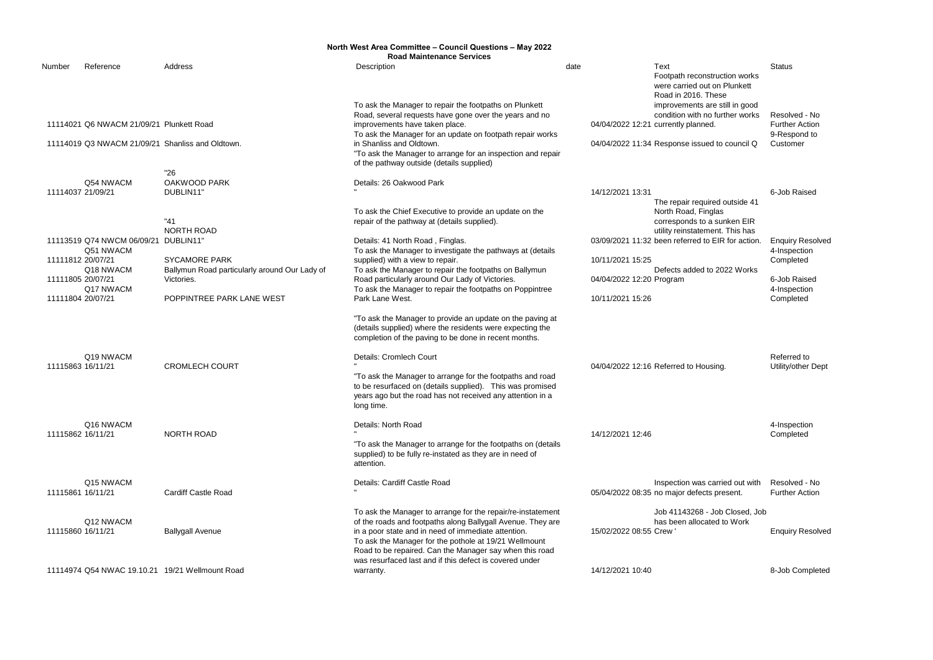|        |                                          |                                                             | North West Area Committee - Council Questions - May 2022<br><b>Road Maintenance Services</b>                                                                                                                                                                                                          |                         |                                                                                                          |                                                        |
|--------|------------------------------------------|-------------------------------------------------------------|-------------------------------------------------------------------------------------------------------------------------------------------------------------------------------------------------------------------------------------------------------------------------------------------------------|-------------------------|----------------------------------------------------------------------------------------------------------|--------------------------------------------------------|
| Number | Reference                                | Address                                                     | Description                                                                                                                                                                                                                                                                                           | date                    | Text<br>Footpath reconstruction works<br>were carried out on Plunkett<br>Road in 2016. These             | <b>Status</b>                                          |
|        | 11114021 Q6 NWACM 21/09/21 Plunkett Road |                                                             | To ask the Manager to repair the footpaths on Plunkett<br>Road, several requests have gone over the years and no<br>improvements have taken place.<br>To ask the Manager for an update on footpath repair works                                                                                       |                         | improvements are still in good<br>condition with no further works<br>04/04/2022 12:21 currently planned. | Resolved - No<br><b>Further Action</b><br>9-Respond to |
|        |                                          | 11114019 Q3 NWACM 21/09/21 Shanliss and Oldtown.            | in Shanliss and Oldtown.<br>"To ask the Manager to arrange for an inspection and repair<br>of the pathway outside (details supplied)                                                                                                                                                                  |                         | 04/04/2022 11:34 Response issued to council Q                                                            | Customer                                               |
|        |                                          | "26                                                         |                                                                                                                                                                                                                                                                                                       |                         |                                                                                                          |                                                        |
|        | Q54 NWACM                                | OAKWOOD PARK                                                | Details: 26 Oakwood Park                                                                                                                                                                                                                                                                              |                         |                                                                                                          |                                                        |
|        | 11114037 21/09/21                        | DUBLIN11'                                                   |                                                                                                                                                                                                                                                                                                       | 14/12/2021 13:31        |                                                                                                          | 6-Job Raised                                           |
|        |                                          | "41                                                         | To ask the Chief Executive to provide an update on the<br>repair of the pathway at (details supplied).                                                                                                                                                                                                |                         | The repair required outside 41<br>North Road, Finglas<br>corresponds to a sunken EIR                     |                                                        |
|        |                                          | <b>NORTH ROAD</b>                                           |                                                                                                                                                                                                                                                                                                       |                         | utility reinstatement. This has                                                                          |                                                        |
|        | 11113519 Q74 NWCM 06/09/21               | DUBLIN11                                                    | Details: 41 North Road, Finglas.                                                                                                                                                                                                                                                                      |                         | 03/09/2021 11:32 been referred to EIR for action.                                                        | <b>Enquiry Resolved</b>                                |
|        | Q51 NWACM                                |                                                             | To ask the Manager to investigate the pathways at (details                                                                                                                                                                                                                                            |                         |                                                                                                          | 4-Inspection                                           |
|        | 11111812 20/07/21<br>Q18 NWACM           | <b>SYCAMORE PARK</b>                                        | supplied) with a view to repair.                                                                                                                                                                                                                                                                      | 10/11/2021 15:25        | Defects added to 2022 Works                                                                              | Completed                                              |
|        | 11111805 20/07/21                        | Ballymun Road particularly around Our Lady of<br>Victories. | To ask the Manager to repair the footpaths on Ballymun<br>Road particularly around Our Lady of Victories.                                                                                                                                                                                             |                         | 04/04/2022 12:20 Program                                                                                 | 6-Job Raised                                           |
|        | Q17 NWACM                                |                                                             | To ask the Manager to repair the footpaths on Poppintree                                                                                                                                                                                                                                              |                         |                                                                                                          | 4-Inspection                                           |
|        | 11111804 20/07/21                        | POPPINTREE PARK LANE WEST                                   | Park Lane West.                                                                                                                                                                                                                                                                                       | 10/11/2021 15:26        |                                                                                                          | Completed                                              |
|        |                                          |                                                             | "To ask the Manager to provide an update on the paving at<br>(details supplied) where the residents were expecting the<br>completion of the paving to be done in recent months.                                                                                                                       |                         |                                                                                                          |                                                        |
|        | Q19 NWACM<br>11115863 16/11/21           | <b>CROMLECH COURT</b>                                       | Details: Cromlech Court                                                                                                                                                                                                                                                                               |                         | 04/04/2022 12:16 Referred to Housing.                                                                    | Referred to<br>Utility/other Dept                      |
|        |                                          |                                                             | "To ask the Manager to arrange for the footpaths and road<br>to be resurfaced on (details supplied). This was promised<br>years ago but the road has not received any attention in a<br>long time.                                                                                                    |                         |                                                                                                          |                                                        |
|        | Q16 NWACM                                |                                                             | Details: North Road                                                                                                                                                                                                                                                                                   |                         |                                                                                                          | 4-Inspection                                           |
|        | 11115862 16/11/21                        | <b>NORTH ROAD</b>                                           | "To ask the Manager to arrange for the footpaths on (details<br>supplied) to be fully re-instated as they are in need of<br>attention.                                                                                                                                                                | 14/12/2021 12:46        |                                                                                                          | Completed                                              |
|        | Q15 NWACM                                |                                                             | Details: Cardiff Castle Road                                                                                                                                                                                                                                                                          |                         | Inspection was carried out with                                                                          | Resolved - No                                          |
|        | 11115861 16/11/21                        | <b>Cardiff Castle Road</b>                                  |                                                                                                                                                                                                                                                                                                       |                         | 05/04/2022 08:35 no major defects present.                                                               | <b>Further Action</b>                                  |
|        | Q12 NWACM<br>11115860 16/11/21           | <b>Ballygall Avenue</b>                                     | To ask the Manager to arrange for the repair/re-instatement<br>of the roads and footpaths along Ballygall Avenue. They are<br>in a poor state and in need of immediate attention.<br>To ask the Manager for the pothole at 19/21 Wellmount<br>Road to be repaired. Can the Manager say when this road | 15/02/2022 08:55 Crew ' | Job 41143268 - Job Closed, Job<br>has been allocated to Work                                             | <b>Enquiry Resolved</b>                                |
|        |                                          | 11114974 Q54 NWAC 19.10.21 19/21 Wellmount Road             | was resurfaced last and if this defect is covered under<br>warranty.                                                                                                                                                                                                                                  | 14/12/2021 10:40        |                                                                                                          | 8-Job Completed                                        |
|        |                                          |                                                             |                                                                                                                                                                                                                                                                                                       |                         |                                                                                                          |                                                        |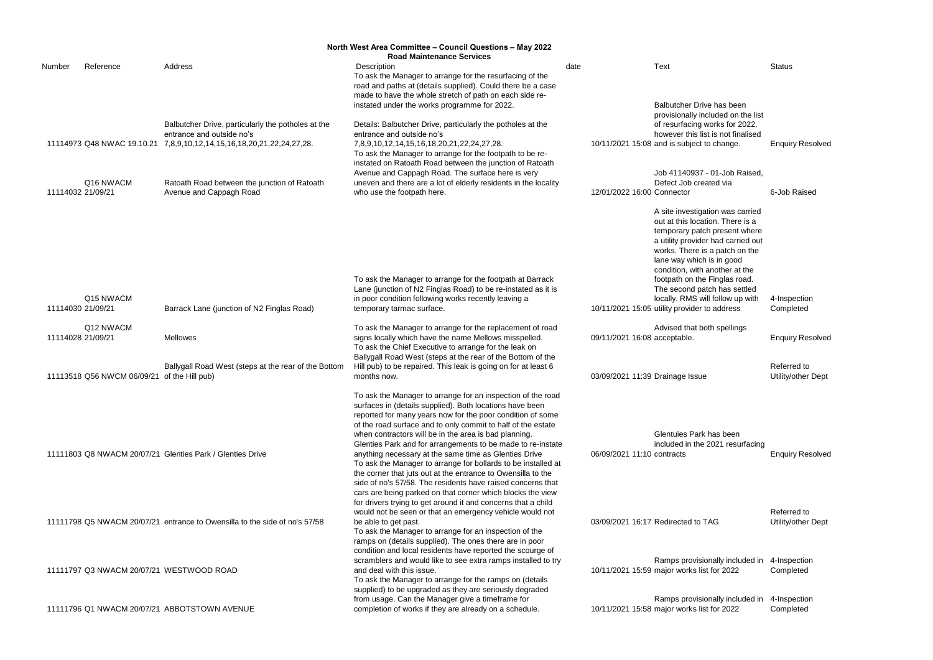|                   | North West Area Committee - Council Questions - May 2022 |                                                                                                                               |                                                                                                                                                                                                                                                                                                                                                                                                                                                                                                                                                                                                                                                                                                                                                                       |      |                                 |                                                                                                                                                                                                                                                                                                                                                                                                   |                                   |
|-------------------|----------------------------------------------------------|-------------------------------------------------------------------------------------------------------------------------------|-----------------------------------------------------------------------------------------------------------------------------------------------------------------------------------------------------------------------------------------------------------------------------------------------------------------------------------------------------------------------------------------------------------------------------------------------------------------------------------------------------------------------------------------------------------------------------------------------------------------------------------------------------------------------------------------------------------------------------------------------------------------------|------|---------------------------------|---------------------------------------------------------------------------------------------------------------------------------------------------------------------------------------------------------------------------------------------------------------------------------------------------------------------------------------------------------------------------------------------------|-----------------------------------|
| Number            | Reference                                                | Address                                                                                                                       | <b>Road Maintenance Services</b><br>Description<br>To ask the Manager to arrange for the resurfacing of the<br>road and paths at (details supplied). Could there be a case<br>made to have the whole stretch of path on each side re-                                                                                                                                                                                                                                                                                                                                                                                                                                                                                                                                 | date |                                 | <b>Text</b>                                                                                                                                                                                                                                                                                                                                                                                       | <b>Status</b>                     |
|                   | 11114973 Q48 NWAC 19.10.21                               | Balbutcher Drive, particularly the potholes at the<br>entrance and outside no's<br>7,8,9,10,12,14,15,16,18,20,21,22,24,27,28. | instated under the works programme for 2022.<br>Details: Balbutcher Drive, particularly the potholes at the<br>entrance and outside no's<br>7,8,9,10,12,14,15,16,18,20,21,22,24,27,28.<br>To ask the Manager to arrange for the footpath to be re-<br>instated on Ratoath Road between the junction of Ratoath                                                                                                                                                                                                                                                                                                                                                                                                                                                        |      |                                 | Balbutcher Drive has been<br>provisionally included on the list<br>of resurfacing works for 2022,<br>however this list is not finalised<br>10/11/2021 15:08 and is subject to change.                                                                                                                                                                                                             | <b>Enquiry Resolved</b>           |
|                   | Q16 NWACM<br>11114032 21/09/21                           | Ratoath Road between the junction of Ratoath<br>Avenue and Cappagh Road                                                       | Avenue and Cappagh Road. The surface here is very<br>uneven and there are a lot of elderly residents in the locality<br>who use the footpath here.                                                                                                                                                                                                                                                                                                                                                                                                                                                                                                                                                                                                                    |      | 12/01/2022 16:00 Connector      | Job 41140937 - 01-Job Raised,<br>Defect Job created via                                                                                                                                                                                                                                                                                                                                           | 6-Job Raised                      |
|                   | Q15 NWACM<br>11114030 21/09/21                           | Barrack Lane (junction of N2 Finglas Road)                                                                                    | To ask the Manager to arrange for the footpath at Barrack<br>Lane (junction of N2 Finglas Road) to be re-instated as it is<br>in poor condition following works recently leaving a<br>temporary tarmac surface.                                                                                                                                                                                                                                                                                                                                                                                                                                                                                                                                                       |      |                                 | A site investigation was carried<br>out at this location. There is a<br>temporary patch present where<br>a utility provider had carried out<br>works. There is a patch on the<br>lane way which is in good<br>condition, with another at the<br>footpath on the Finglas road.<br>The second patch has settled<br>locally. RMS will follow up with<br>10/11/2021 15:05 utility provider to address | 4-Inspection<br>Completed         |
| 11114028 21/09/21 | Q12 NWACM                                                | <b>Mellowes</b>                                                                                                               | To ask the Manager to arrange for the replacement of road<br>signs locally which have the name Mellows misspelled.<br>To ask the Chief Executive to arrange for the leak on<br>Ballygall Road West (steps at the rear of the Bottom of the                                                                                                                                                                                                                                                                                                                                                                                                                                                                                                                            |      | 09/11/2021 16:08 acceptable.    | Advised that both spellings                                                                                                                                                                                                                                                                                                                                                                       | <b>Enquiry Resolved</b>           |
|                   | 11113518 Q56 NWCM 06/09/21                               | Ballygall Road West (steps at the rear of the Bottom<br>of the Hill pub)                                                      | Hill pub) to be repaired. This leak is going on for at least 6<br>months now.                                                                                                                                                                                                                                                                                                                                                                                                                                                                                                                                                                                                                                                                                         |      | 03/09/2021 11:39 Drainage Issue |                                                                                                                                                                                                                                                                                                                                                                                                   | Referred to<br>Utility/other Dept |
|                   |                                                          | 11111803 Q8 NWACM 20/07/21 Glenties Park / Glenties Drive                                                                     | To ask the Manager to arrange for an inspection of the road<br>surfaces in (details supplied). Both locations have been<br>reported for many years now for the poor condition of some<br>of the road surface and to only commit to half of the estate<br>when contractors will be in the area is bad planning.<br>Glenties Park and for arrangements to be made to re-instate<br>anything necessary at the same time as Glenties Drive<br>To ask the Manager to arrange for bollards to be installed at<br>the corner that juts out at the entrance to Owensilla to the<br>side of no's 57/58. The residents have raised concerns that<br>cars are being parked on that corner which blocks the view<br>for drivers trying to get around it and concerns that a child |      | 06/09/2021 11:10 contracts      | Glentuies Park has been<br>included in the 2021 resurfacing                                                                                                                                                                                                                                                                                                                                       | <b>Enquiry Resolved</b>           |
|                   |                                                          | 11111798 Q5 NWACM 20/07/21 entrance to Owensilla to the side of no's 57/58                                                    | would not be seen or that an emergency vehicle would not<br>be able to get past.<br>To ask the Manager to arrange for an inspection of the<br>ramps on (details supplied). The ones there are in poor                                                                                                                                                                                                                                                                                                                                                                                                                                                                                                                                                                 |      |                                 | 03/09/2021 16:17 Redirected to TAG                                                                                                                                                                                                                                                                                                                                                                | Referred to<br>Utility/other Dept |
|                   | 11111797 Q3 NWACM 20/07/21 WESTWOOD ROAD                 |                                                                                                                               | condition and local residents have reported the scourge of<br>scramblers and would like to see extra ramps installed to try<br>and deal with this issue.<br>To ask the Manager to arrange for the ramps on (details<br>supplied) to be upgraded as they are seriously degraded                                                                                                                                                                                                                                                                                                                                                                                                                                                                                        |      |                                 | Ramps provisionally included in<br>10/11/2021 15:59 major works list for 2022                                                                                                                                                                                                                                                                                                                     | 4-Inspection<br>Completed         |
|                   |                                                          | 11111796 Q1 NWACM 20/07/21 ABBOTSTOWN AVENUE                                                                                  | from usage. Can the Manager give a timeframe for<br>completion of works if they are already on a schedule.                                                                                                                                                                                                                                                                                                                                                                                                                                                                                                                                                                                                                                                            |      |                                 | Ramps provisionally included in<br>10/11/2021 15:58 major works list for 2022                                                                                                                                                                                                                                                                                                                     | 4-Inspection<br>Completed         |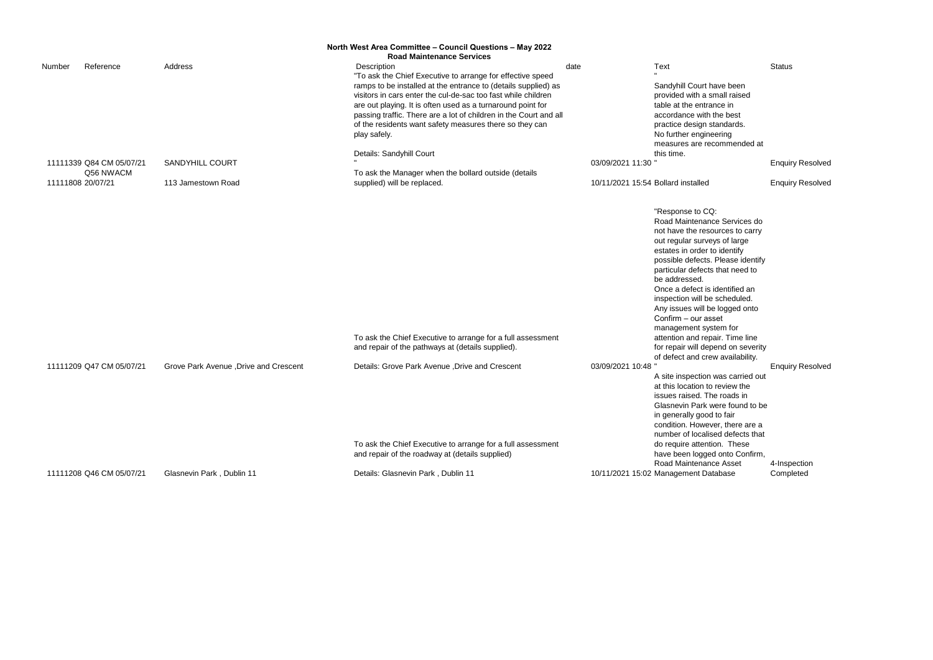|        |                          |                                        | North West Area Committee - Council Questions - May 2022<br><b>Road Maintenance Services</b>                                                                                                                                                                                                                                                   |                  |                                                                                                                                                                                                                                                                                                                                                                                                                                                                            |               |
|--------|--------------------------|----------------------------------------|------------------------------------------------------------------------------------------------------------------------------------------------------------------------------------------------------------------------------------------------------------------------------------------------------------------------------------------------|------------------|----------------------------------------------------------------------------------------------------------------------------------------------------------------------------------------------------------------------------------------------------------------------------------------------------------------------------------------------------------------------------------------------------------------------------------------------------------------------------|---------------|
| Number | Reference                | Address                                | Description<br>"To ask the Chief Executive to arrange for effective speed                                                                                                                                                                                                                                                                      | date             | Text                                                                                                                                                                                                                                                                                                                                                                                                                                                                       | <b>Status</b> |
|        |                          |                                        | ramps to be installed at the entrance to (details supplied) as<br>visitors in cars enter the cul-de-sac too fast while children<br>are out playing. It is often used as a turnaround point for<br>passing traffic. There are a lot of children in the Court and all<br>of the residents want safety measures there so they can<br>play safely. |                  | Sandyhill Court have been<br>provided with a small raised<br>table at the entrance in<br>accordance with the best<br>practice design standards.<br>No further engineering<br>measures are recommended at                                                                                                                                                                                                                                                                   |               |
|        |                          |                                        | Details: Sandyhill Court                                                                                                                                                                                                                                                                                                                       |                  | this time.                                                                                                                                                                                                                                                                                                                                                                                                                                                                 |               |
|        | 11111339 Q84 CM 05/07/21 | <b>SANDYHILL COURT</b>                 |                                                                                                                                                                                                                                                                                                                                                | 03/09/2021 11:30 |                                                                                                                                                                                                                                                                                                                                                                                                                                                                            | Enqui         |
|        | Q56 NWACM                |                                        | To ask the Manager when the bollard outside (details                                                                                                                                                                                                                                                                                           |                  |                                                                                                                                                                                                                                                                                                                                                                                                                                                                            |               |
|        | 11111808 20/07/21        | 113 Jamestown Road                     | supplied) will be replaced.                                                                                                                                                                                                                                                                                                                    |                  | 10/11/2021 15:54 Bollard installed                                                                                                                                                                                                                                                                                                                                                                                                                                         | Enqui         |
|        |                          |                                        | To ask the Chief Executive to arrange for a full assessment<br>and repair of the pathways at (details supplied).                                                                                                                                                                                                                               |                  | "Response to CQ:<br>Road Maintenance Services do<br>not have the resources to carry<br>out regular surveys of large<br>estates in order to identify<br>possible defects. Please identify<br>particular defects that need to<br>be addressed.<br>Once a defect is identified an<br>inspection will be scheduled.<br>Any issues will be logged onto<br>Confirm - our asset<br>management system for<br>attention and repair. Time line<br>for repair will depend on severity |               |
|        | 11111209 Q47 CM 05/07/21 | Grove Park Avenue , Drive and Crescent | Details: Grove Park Avenue , Drive and Crescent<br>To ask the Chief Executive to arrange for a full assessment                                                                                                                                                                                                                                 | 03/09/2021 10:48 | of defect and crew availability.<br>A site inspection was carried out<br>at this location to review the<br>issues raised. The roads in<br>Glasnevin Park were found to be<br>in generally good to fair<br>condition. However, there are a<br>number of localised defects that<br>do require attention. These                                                                                                                                                               | Enqui         |
|        |                          |                                        | and repair of the roadway at (details supplied)                                                                                                                                                                                                                                                                                                |                  | have been logged onto Confirm,<br>Road Maintenance Asset                                                                                                                                                                                                                                                                                                                                                                                                                   | 4-Insp        |
|        | 11111208 Q46 CM 05/07/21 | Glasnevin Park, Dublin 11              | Details: Glasnevin Park, Dublin 11                                                                                                                                                                                                                                                                                                             |                  | 10/11/2021 15:02 Management Database                                                                                                                                                                                                                                                                                                                                                                                                                                       | Comp          |

# **Enquiry Resolved**

# ed<sub>d</sub> will be replaced. 1000 Bollard installed Enquiry Resolved

**Enquiry Resolved** 

ion was carried out n to review the . The roads in rk were found to be ood to fair wever, there are a alised defects that ention. These gged onto Confirm, ance Asset Database 4-Inspection Completed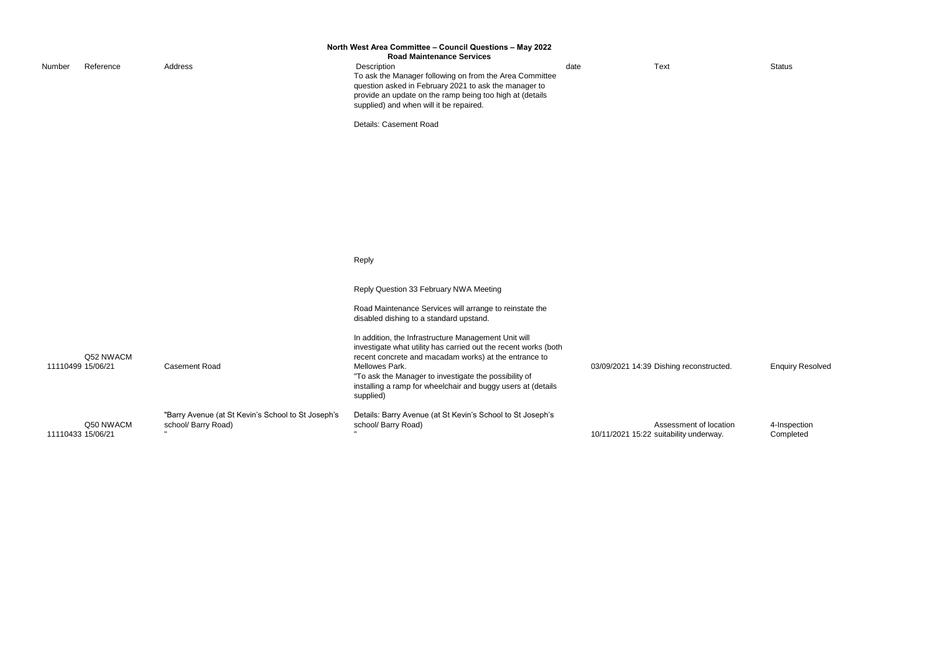| Number | Reference                      | Address                                                                   | North West Area Committee - Council Questions - May 2022<br><b>Road Maintenance Services</b><br>Description<br>To ask the Manager following on from the Area Committee<br>question asked in February 2021 to ask the manager to<br>provide an update on the ramp being too high at (details<br>supplied) and when will it be repaired.<br>Details: Casement Road                                                                               | date | Text                                                             | <b>Status</b>  |
|--------|--------------------------------|---------------------------------------------------------------------------|------------------------------------------------------------------------------------------------------------------------------------------------------------------------------------------------------------------------------------------------------------------------------------------------------------------------------------------------------------------------------------------------------------------------------------------------|------|------------------------------------------------------------------|----------------|
|        |                                |                                                                           | Reply<br>Reply Question 33 February NWA Meeting                                                                                                                                                                                                                                                                                                                                                                                                |      |                                                                  |                |
|        | Q52 NWACM<br>11110499 15/06/21 | <b>Casement Road</b>                                                      | Road Maintenance Services will arrange to reinstate the<br>disabled dishing to a standard upstand.<br>In addition, the Infrastructure Management Unit will<br>investigate what utility has carried out the recent works (both<br>recent concrete and macadam works) at the entrance to<br>Mellowes Park.<br>"To ask the Manager to investigate the possibility of<br>installing a ramp for wheelchair and buggy users at (details<br>supplied) |      | 03/09/2021 14:39 Dishing reconstructed.                          | Enqui          |
|        | Q50 NWACM<br>11110433 15/06/21 | "Barry Avenue (at St Kevin's School to St Joseph's<br>school/ Barry Road) | Details: Barry Avenue (at St Kevin's School to St Joseph's<br>school/ Barry Road)                                                                                                                                                                                                                                                                                                                                                              |      | Assessment of location<br>10/11/2021 15:22 suitability underway. | 4-Insp<br>Comp |

onstructed. **Enquiry Resolved** 

4-Inspection Completed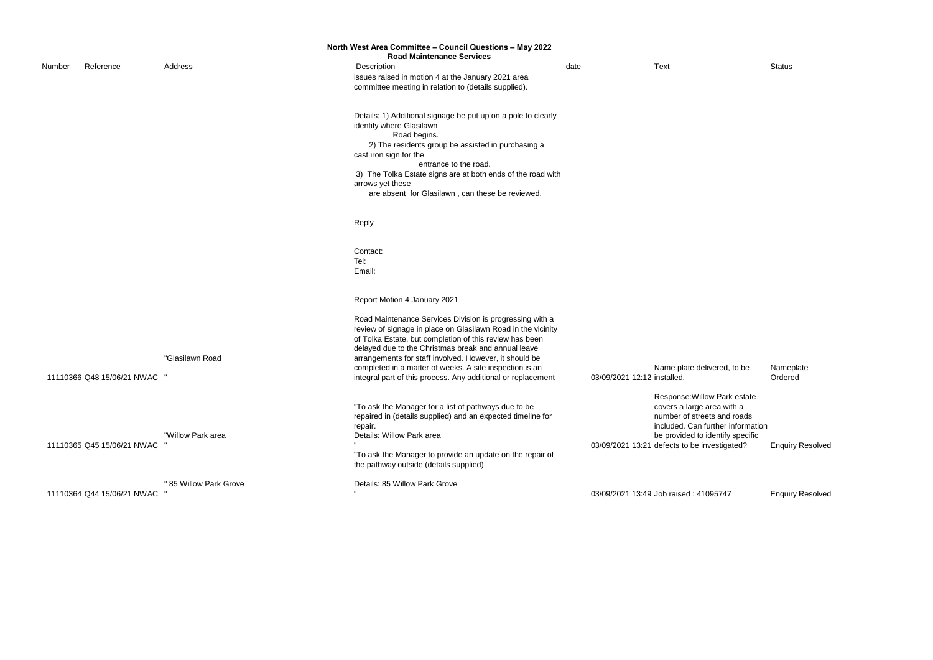|        |                            |                        | North West Area Committee - Council Questions - May 2022<br><b>Road Maintenance Services</b>                                                                                                                                                                                                                                                                                                                                    |                             |                                                                                                                                                                                                                    |               |
|--------|----------------------------|------------------------|---------------------------------------------------------------------------------------------------------------------------------------------------------------------------------------------------------------------------------------------------------------------------------------------------------------------------------------------------------------------------------------------------------------------------------|-----------------------------|--------------------------------------------------------------------------------------------------------------------------------------------------------------------------------------------------------------------|---------------|
| Number | Reference                  | Address                | Description<br>issues raised in motion 4 at the January 2021 area<br>committee meeting in relation to (details supplied).                                                                                                                                                                                                                                                                                                       | date                        | <b>Text</b>                                                                                                                                                                                                        | Status        |
|        |                            |                        | Details: 1) Additional signage be put up on a pole to clearly<br>identify where Glasilawn<br>Road begins.<br>2) The residents group be assisted in purchasing a<br>cast iron sign for the<br>entrance to the road.<br>3) The Tolka Estate signs are at both ends of the road with<br>arrows yet these<br>are absent for Glasilawn, can these be reviewed.                                                                       |                             |                                                                                                                                                                                                                    |               |
|        |                            |                        | Reply                                                                                                                                                                                                                                                                                                                                                                                                                           |                             |                                                                                                                                                                                                                    |               |
|        |                            |                        | Contact:<br>Tel:<br>Email:                                                                                                                                                                                                                                                                                                                                                                                                      |                             |                                                                                                                                                                                                                    |               |
|        |                            |                        | Report Motion 4 January 2021                                                                                                                                                                                                                                                                                                                                                                                                    |                             |                                                                                                                                                                                                                    |               |
|        | 11110366 Q48 15/06/21 NWAC | "Glasilawn Road        | Road Maintenance Services Division is progressing with a<br>review of signage in place on Glasilawn Road in the vicinity<br>of Tolka Estate, but completion of this review has been<br>delayed due to the Christmas break and annual leave<br>arrangements for staff involved. However, it should be<br>completed in a matter of weeks. A site inspection is an<br>integral part of this process. Any additional or replacement | 03/09/2021 12:12 installed. | Name plate delivered, to be                                                                                                                                                                                        | Name<br>Order |
|        | 11110365 Q45 15/06/21 NWAC | "Willow Park area      | "To ask the Manager for a list of pathways due to be<br>repaired in (details supplied) and an expected timeline for<br>repair.<br>Details: Willow Park area<br>"To ask the Manager to provide an update on the repair of<br>the pathway outside (details supplied)                                                                                                                                                              |                             | Response: Willow Park estate<br>covers a large area with a<br>number of streets and roads<br>included. Can further information<br>be provided to identify specific<br>03/09/2021 13:21 defects to be investigated? | Enqui         |
|        | 11110364 Q44 15/06/21 NWAC | " 85 Willow Park Grove | Details: 85 Willow Park Grove                                                                                                                                                                                                                                                                                                                                                                                                   |                             | 03/09/2021 13:49 Job raised: 41095747                                                                                                                                                                              | Enqui         |
|        |                            |                        |                                                                                                                                                                                                                                                                                                                                                                                                                                 |                             |                                                                                                                                                                                                                    |               |

Nameplate Ordered

Villow Park estate ge area with a e<br>treets and roads an further information I to identify specific investigated? Enquiry Resolved

41095747 Enquiry Resolved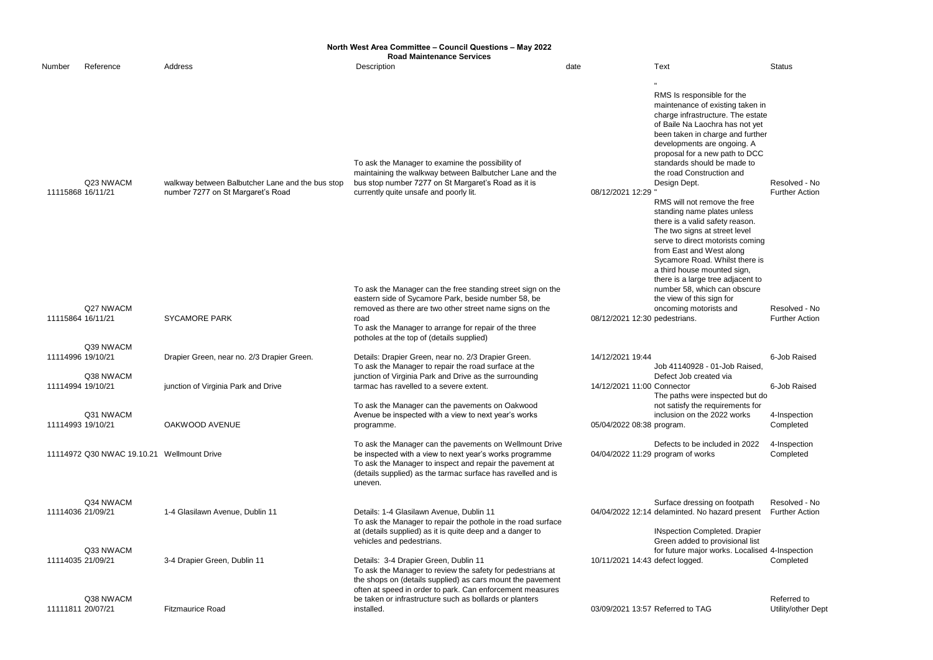|        | North West Area Committee - Council Questions - May 2022<br><b>Road Maintenance Services</b> |                                                                                       |                                                                                                                                                                                                                                                                                             |      |                           |                                                                                                                                                                                                                                                                                                                                                                                                                                                                                                                                                                                             |                                        |
|--------|----------------------------------------------------------------------------------------------|---------------------------------------------------------------------------------------|---------------------------------------------------------------------------------------------------------------------------------------------------------------------------------------------------------------------------------------------------------------------------------------------|------|---------------------------|---------------------------------------------------------------------------------------------------------------------------------------------------------------------------------------------------------------------------------------------------------------------------------------------------------------------------------------------------------------------------------------------------------------------------------------------------------------------------------------------------------------------------------------------------------------------------------------------|----------------------------------------|
| Number | Reference                                                                                    | Address                                                                               | Description                                                                                                                                                                                                                                                                                 | date |                           | Text                                                                                                                                                                                                                                                                                                                                                                                                                                                                                                                                                                                        | <b>Status</b>                          |
|        | Q23 NWACM<br>11115868 16/11/21                                                               | walkway between Balbutcher Lane and the bus stop<br>number 7277 on St Margaret's Road | To ask the Manager to examine the possibility of<br>maintaining the walkway between Balbutcher Lane and the<br>bus stop number 7277 on St Margaret's Road as it is<br>currently quite unsafe and poorly lit.                                                                                |      | 08/12/2021 12:29          | RMS Is responsible for the<br>maintenance of existing taken in<br>charge infrastructure. The estate<br>of Baile Na Laochra has not yet<br>been taken in charge and further<br>developments are ongoing. A<br>proposal for a new path to DCC<br>standards should be made to<br>the road Construction and<br>Design Dept.<br>RMS will not remove the free<br>standing name plates unless<br>there is a valid safety reason.<br>The two signs at street level<br>serve to direct motorists coming<br>from East and West along<br>Sycamore Road. Whilst there is<br>a third house mounted sign, | Resolved - No<br><b>Further Action</b> |
|        | Q27 NWACM<br>11115864 16/11/21                                                               | <b>SYCAMORE PARK</b>                                                                  | To ask the Manager can the free standing street sign on the<br>eastern side of Sycamore Park, beside number 58, be<br>removed as there are two other street name signs on the<br>road<br>To ask the Manager to arrange for repair of the three<br>potholes at the top of (details supplied) |      |                           | there is a large tree adjacent to<br>number 58, which can obscure<br>the view of this sign for<br>oncoming motorists and<br>08/12/2021 12:30 pedestrians.                                                                                                                                                                                                                                                                                                                                                                                                                                   | Resolved - No<br><b>Further Action</b> |
|        | Q39 NWACM<br>11114996 19/10/21                                                               | Drapier Green, near no. 2/3 Drapier Green.                                            | Details: Drapier Green, near no. 2/3 Drapier Green.<br>To ask the Manager to repair the road surface at the                                                                                                                                                                                 |      | 14/12/2021 19:44          | Job 41140928 - 01-Job Raised,                                                                                                                                                                                                                                                                                                                                                                                                                                                                                                                                                               | 6-Job Raised                           |
|        | Q38 NWACM<br>11114994 19/10/21                                                               | junction of Virginia Park and Drive                                                   | junction of Virginia Park and Drive as the surrounding<br>tarmac has ravelled to a severe extent.                                                                                                                                                                                           |      |                           | Defect Job created via<br>14/12/2021 11:00 Connector<br>The paths were inspected but do                                                                                                                                                                                                                                                                                                                                                                                                                                                                                                     | 6-Job Raised                           |
|        | Q31 NWACM<br>11114993 19/10/21                                                               | OAKWOOD AVENUE                                                                        | To ask the Manager can the pavements on Oakwood<br>Avenue be inspected with a view to next year's works<br>programme.                                                                                                                                                                       |      | 05/04/2022 08:38 program. | not satisfy the requirements for<br>inclusion on the 2022 works                                                                                                                                                                                                                                                                                                                                                                                                                                                                                                                             | 4-Inspection<br>Completed              |
|        | 11114972 Q30 NWAC 19.10.21 Wellmount Drive                                                   |                                                                                       | To ask the Manager can the pavements on Wellmount Drive<br>be inspected with a view to next year's works programme<br>To ask the Manager to inspect and repair the pavement at<br>(details supplied) as the tarmac surface has ravelled and is<br>uneven.                                   |      |                           | Defects to be included in 2022<br>04/04/2022 11:29 program of works                                                                                                                                                                                                                                                                                                                                                                                                                                                                                                                         | 4-Inspection<br>Completed              |
|        | Q34 NWACM<br>11114036 21/09/21                                                               | 1-4 Glasilawn Avenue, Dublin 11                                                       | Details: 1-4 Glasilawn Avenue, Dublin 11<br>To ask the Manager to repair the pothole in the road surface<br>at (details supplied) as it is quite deep and a danger to<br>vehicles and pedestrians.                                                                                          |      |                           | Surface dressing on footpath<br>04/04/2022 12:14 delaminted. No hazard present<br><b>INspection Completed. Drapier</b><br>Green added to provisional list                                                                                                                                                                                                                                                                                                                                                                                                                                   | Resolved - No<br><b>Further Action</b> |
|        | Q33 NWACM<br>11114035 21/09/21                                                               | 3-4 Drapier Green, Dublin 11                                                          | Details: 3-4 Drapier Green, Dublin 11<br>To ask the Manager to review the safety for pedestrians at<br>the shops on (details supplied) as cars mount the pavement<br>often at speed in order to park. Can enforcement measures                                                              |      |                           | for future major works. Localised 4-Inspection<br>10/11/2021 14:43 defect logged.                                                                                                                                                                                                                                                                                                                                                                                                                                                                                                           | Completed                              |
|        | Q38 NWACM<br>11111811 20/07/21                                                               | <b>Fitzmaurice Road</b>                                                               | be taken or infrastructure such as bollards or planters<br>installed.                                                                                                                                                                                                                       |      |                           | 03/09/2021 13:57 Referred to TAG                                                                                                                                                                                                                                                                                                                                                                                                                                                                                                                                                            | Referred to<br>Utility/other Dep       |

 $_{\rm ept}$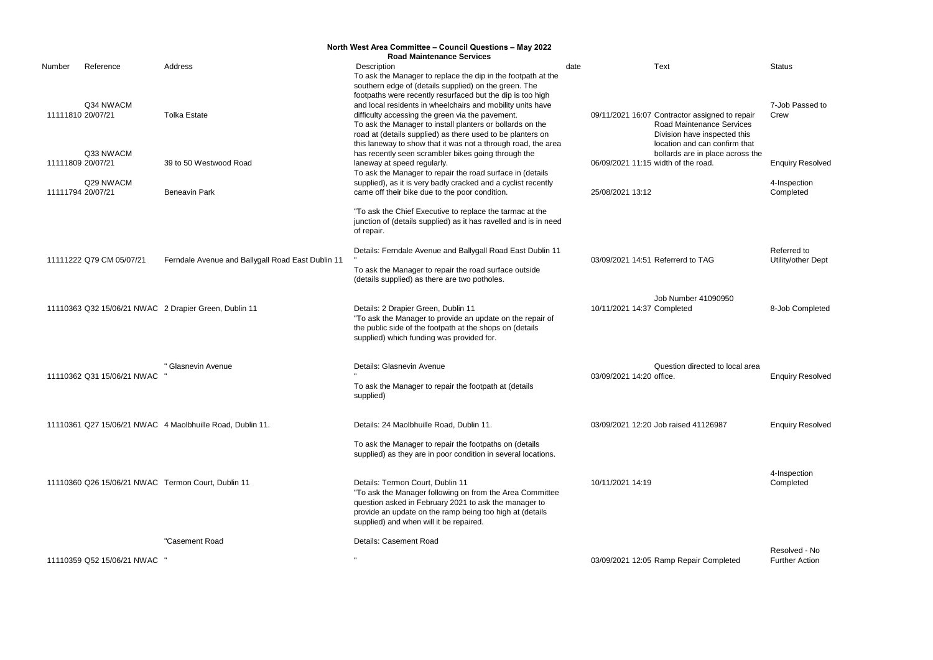|        |                              |                                                           | North West Area Committee - Council Questions - May 2022                                                                    |      |                            |                                                               |                         |
|--------|------------------------------|-----------------------------------------------------------|-----------------------------------------------------------------------------------------------------------------------------|------|----------------------------|---------------------------------------------------------------|-------------------------|
| Number | Reference                    | Address                                                   | <b>Road Maintenance Services</b><br>Description                                                                             | date |                            | <b>Text</b>                                                   | <b>Status</b>           |
|        |                              |                                                           | To ask the Manager to replace the dip in the footpath at the                                                                |      |                            |                                                               |                         |
|        |                              |                                                           | southern edge of (details supplied) on the green. The                                                                       |      |                            |                                                               |                         |
|        |                              |                                                           | footpaths were recently resurfaced but the dip is too high                                                                  |      |                            |                                                               |                         |
|        | Q34 NWACM                    |                                                           | and local residents in wheelchairs and mobility units have                                                                  |      |                            |                                                               | 7-Job Passed to         |
|        | 11111810 20/07/21            | <b>Tolka Estate</b>                                       | difficulty accessing the green via the pavement.                                                                            |      |                            | 09/11/2021 16:07 Contractor assigned to repair                | Crew                    |
|        |                              |                                                           | To ask the Manager to install planters or bollards on the                                                                   |      |                            | Road Maintenance Services                                     |                         |
|        |                              |                                                           | road at (details supplied) as there used to be planters on<br>this laneway to show that it was not a through road, the area |      |                            | Division have inspected this<br>location and can confirm that |                         |
|        | Q33 NWACM                    |                                                           | has recently seen scrambler bikes going through the                                                                         |      |                            | bollards are in place across the                              |                         |
|        | 11111809 20/07/21            | 39 to 50 Westwood Road                                    | laneway at speed regularly.                                                                                                 |      |                            | 06/09/2021 11:15 width of the road.                           | <b>Enquiry Resolved</b> |
|        |                              |                                                           | To ask the Manager to repair the road surface in (details                                                                   |      |                            |                                                               |                         |
|        | Q29 NWACM                    |                                                           | supplied), as it is very badly cracked and a cyclist recently                                                               |      |                            |                                                               | 4-Inspection            |
|        | 11111794 20/07/21            | <b>Beneavin Park</b>                                      | came off their bike due to the poor condition.                                                                              |      | 25/08/2021 13:12           |                                                               | Completed               |
|        |                              |                                                           | "To ask the Chief Executive to replace the tarmac at the                                                                    |      |                            |                                                               |                         |
|        |                              |                                                           | junction of (details supplied) as it has ravelled and is in need                                                            |      |                            |                                                               |                         |
|        |                              |                                                           | of repair.                                                                                                                  |      |                            |                                                               |                         |
|        |                              |                                                           | Details: Ferndale Avenue and Ballygall Road East Dublin 11                                                                  |      |                            |                                                               | Referred to             |
|        | 11111222 Q79 CM 05/07/21     | Ferndale Avenue and Ballygall Road East Dublin 11         |                                                                                                                             |      |                            | 03/09/2021 14:51 Referrerd to TAG                             | Utility/other Dept      |
|        |                              |                                                           | To ask the Manager to repair the road surface outside                                                                       |      |                            |                                                               |                         |
|        |                              |                                                           | (details supplied) as there are two potholes.                                                                               |      |                            |                                                               |                         |
|        |                              |                                                           |                                                                                                                             |      |                            | <b>Job Number 41090950</b>                                    |                         |
|        |                              | 11110363 Q32 15/06/21 NWAC 2 Drapier Green, Dublin 11     | Details: 2 Drapier Green, Dublin 11                                                                                         |      | 10/11/2021 14:37 Completed |                                                               | 8-Job Completed         |
|        |                              |                                                           | "To ask the Manager to provide an update on the repair of                                                                   |      |                            |                                                               |                         |
|        |                              |                                                           | the public side of the footpath at the shops on (details                                                                    |      |                            |                                                               |                         |
|        |                              |                                                           | supplied) which funding was provided for.                                                                                   |      |                            |                                                               |                         |
|        |                              | " Glasnevin Avenue                                        | Details: Glasnevin Avenue                                                                                                   |      |                            | Question directed to local area                               |                         |
|        | 11110362 Q31 15/06/21 NWAC   |                                                           |                                                                                                                             |      | 03/09/2021 14:20 office.   |                                                               | <b>Enquiry Resolved</b> |
|        |                              |                                                           | To ask the Manager to repair the footpath at (details                                                                       |      |                            |                                                               |                         |
|        |                              |                                                           | supplied)                                                                                                                   |      |                            |                                                               |                         |
|        |                              |                                                           |                                                                                                                             |      |                            |                                                               |                         |
|        |                              | 11110361 Q27 15/06/21 NWAC 4 Maolbhuille Road, Dublin 11. | Details: 24 Maolbhuille Road, Dublin 11.                                                                                    |      |                            | 03/09/2021 12:20 Job raised 41126987                          | <b>Enquiry Resolved</b> |
|        |                              |                                                           | To ask the Manager to repair the footpaths on (details                                                                      |      |                            |                                                               |                         |
|        |                              |                                                           | supplied) as they are in poor condition in several locations.                                                               |      |                            |                                                               |                         |
|        |                              |                                                           |                                                                                                                             |      |                            |                                                               | 4-Inspection            |
|        |                              | 11110360 Q26 15/06/21 NWAC Termon Court, Dublin 11        | Details: Termon Court, Dublin 11                                                                                            |      | 10/11/2021 14:19           |                                                               | Completed               |
|        |                              |                                                           | "To ask the Manager following on from the Area Committee                                                                    |      |                            |                                                               |                         |
|        |                              |                                                           | question asked in February 2021 to ask the manager to<br>provide an update on the ramp being too high at (details           |      |                            |                                                               |                         |
|        |                              |                                                           | supplied) and when will it be repaired.                                                                                     |      |                            |                                                               |                         |
|        |                              |                                                           |                                                                                                                             |      |                            |                                                               |                         |
|        |                              | "Casement Road                                            | Details: Casement Road                                                                                                      |      |                            |                                                               | Resolved - No           |
|        | 11110359 Q52 15/06/21 NWAC " |                                                           |                                                                                                                             |      |                            | 03/09/2021 12:05 Ramp Repair Completed                        | <b>Further Action</b>   |
|        |                              |                                                           |                                                                                                                             |      |                            |                                                               |                         |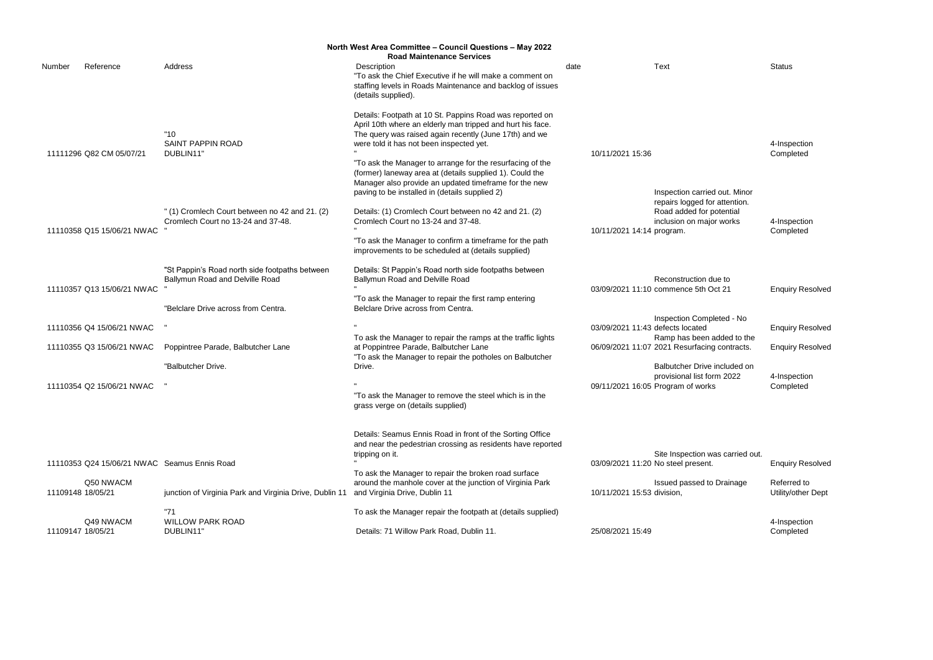4-Inspection Completed

4-Inspection Completed

on due to<br>th Oct 21 **Enquiry Resolved** 

<sub>I</sub>mpleted - No defects located Enquiry Resolved en added to the<br>cing contracts.

d to Drainage Referred to Utility/other Dept

|                                                        |                                                                                     | North West Area Committee - Council Questions - May 2022<br><b>Road Maintenance Services</b>                                                                                                                                                                                              |                                    |                                                                            |                    |
|--------------------------------------------------------|-------------------------------------------------------------------------------------|-------------------------------------------------------------------------------------------------------------------------------------------------------------------------------------------------------------------------------------------------------------------------------------------|------------------------------------|----------------------------------------------------------------------------|--------------------|
| Number<br>Reference                                    | Address                                                                             | Description<br>"To ask the Chief Executive if he will make a comment on<br>staffing levels in Roads Maintenance and backlog of issues<br>(details supplied).                                                                                                                              | date                               | Text                                                                       | Status             |
| 11111296 Q82 CM 05/07/21                               | "10"<br><b>SAINT PAPPIN ROAD</b><br>DUBLIN11"                                       | Details: Footpath at 10 St. Pappins Road was reported on<br>April 10th where an elderly man tripped and hurt his face.<br>The query was raised again recently (June 17th) and we<br>were told it has not been inspected yet.<br>"To ask the Manager to arrange for the resurfacing of the | 10/11/2021 15:36                   |                                                                            | 4-Insp<br>Comp     |
|                                                        |                                                                                     | (former) laneway area at (details supplied 1). Could the<br>Manager also provide an updated timeframe for the new<br>paving to be installed in (details supplied 2)                                                                                                                       |                                    | Inspection carried out. Minor<br>repairs logged for attention.             |                    |
| 11110358 Q15 15/06/21 NWAC                             | "(1) Cromlech Court between no 42 and 21. (2)<br>Cromlech Court no 13-24 and 37-48. | Details: (1) Cromlech Court between no 42 and 21. (2)<br>Cromlech Court no 13-24 and 37-48.<br>"To ask the Manager to confirm a timeframe for the path<br>improvements to be scheduled at (details supplied)                                                                              | 10/11/2021 14:14 program.          | Road added for potential<br>inclusion on major works                       | 4-Insp<br>Comp     |
| 11110357 Q13 15/06/21 NWAC                             | "St Pappin's Road north side footpaths between<br>Ballymun Road and Delville Road   | Details: St Pappin's Road north side footpaths between<br>Ballymun Road and Delville Road<br>"To ask the Manager to repair the first ramp entering                                                                                                                                        |                                    | Reconstruction due to<br>03/09/2021 11:10 commence 5th Oct 21              | Enqui              |
|                                                        | "Belclare Drive across from Centra.                                                 | Belclare Drive across from Centra.                                                                                                                                                                                                                                                        |                                    | Inspection Completed - No                                                  |                    |
| 11110356 Q4 15/06/21 NWAC<br>11110355 Q3 15/06/21 NWAC | Poppintree Parade, Balbutcher Lane                                                  | To ask the Manager to repair the ramps at the traffic lights<br>at Poppintree Parade, Balbutcher Lane                                                                                                                                                                                     | 03/09/2021 11:43 defects located   | Ramp has been added to the<br>06/09/2021 11:07 2021 Resurfacing contracts. | Enqui<br>Enqui     |
|                                                        | "Balbutcher Drive.                                                                  | "To ask the Manager to repair the potholes on Balbutcher<br>Drive.                                                                                                                                                                                                                        |                                    | Balbutcher Drive included on<br>provisional list form 2022                 | 4-Insp             |
| 11110354 Q2 15/06/21 NWAC                              |                                                                                     | "To ask the Manager to remove the steel which is in the<br>grass verge on (details supplied)                                                                                                                                                                                              |                                    | 09/11/2021 16:05 Program of works                                          | Comp               |
|                                                        |                                                                                     | Details: Seamus Ennis Road in front of the Sorting Office<br>and near the pedestrian crossing as residents have reported<br>tripping on it.                                                                                                                                               |                                    | Site Inspection was carried out.                                           |                    |
| 11110353 Q24 15/06/21 NWAC Seamus Ennis Road           |                                                                                     | To ask the Manager to repair the broken road surface                                                                                                                                                                                                                                      | 03/09/2021 11:20 No steel present. |                                                                            | Enqui              |
| Q50 NWACM<br>11109148 18/05/21                         | junction of Virginia Park and Virginia Drive, Dublin 11                             | around the manhole cover at the junction of Virginia Park<br>and Virginia Drive, Dublin 11                                                                                                                                                                                                | 10/11/2021 15:53 division,         | Issued passed to Drainage                                                  | Referr<br>Utility/ |
| Q49 NWACM                                              | "71<br><b>WILLOW PARK ROAD</b>                                                      | To ask the Manager repair the footpath at (details supplied)                                                                                                                                                                                                                              |                                    |                                                                            | 4-Insp             |
| 11109147 18/05/21                                      | DUBLIN11"                                                                           | Details: 71 Willow Park Road, Dublin 11.                                                                                                                                                                                                                                                  | 25/08/2021 15:49                   |                                                                            | Comp               |

4-Inspection Completed

**Enquiry Resolved** 

n was carried out. ent. **Enquiry Resolved** 

4-Inspection

Completed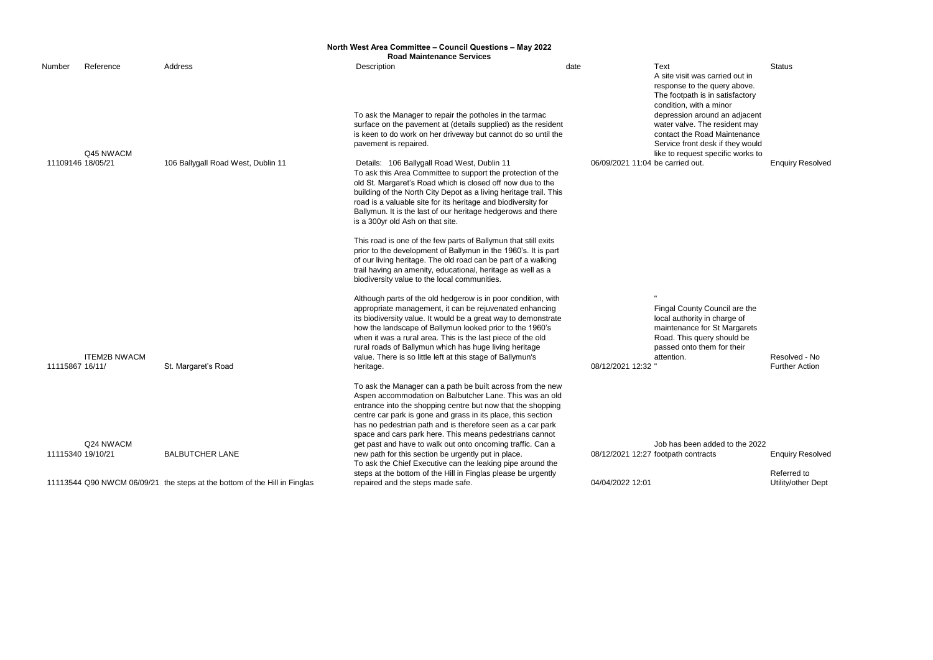|                   |                     |                                                                           | North West Area Committee - Council Questions - May 2022<br><b>Road Maintenance Services</b>                                                                                                                                                                                                                                                                                                                                                               |                                  |                                                                                                                                                                         |                  |
|-------------------|---------------------|---------------------------------------------------------------------------|------------------------------------------------------------------------------------------------------------------------------------------------------------------------------------------------------------------------------------------------------------------------------------------------------------------------------------------------------------------------------------------------------------------------------------------------------------|----------------------------------|-------------------------------------------------------------------------------------------------------------------------------------------------------------------------|------------------|
| Number            | Reference           | Address                                                                   | Description                                                                                                                                                                                                                                                                                                                                                                                                                                                | date                             | <b>Text</b><br>A site visit was carried out in<br>response to the query above.<br>The footpath is in satisfactory<br>condition, with a minor                            | Status           |
|                   | Q45 NWACM           |                                                                           | To ask the Manager to repair the potholes in the tarmac<br>surface on the pavement at (details supplied) as the resident<br>is keen to do work on her driveway but cannot do so until the<br>pavement is repaired.                                                                                                                                                                                                                                         |                                  | depression around an adjacent<br>water valve. The resident may<br>contact the Road Maintenance<br>Service front desk if they would<br>like to request specific works to |                  |
| 11109146 18/05/21 |                     | 106 Ballygall Road West, Dublin 11                                        | Details: 106 Ballygall Road West, Dublin 11<br>To ask this Area Committee to support the protection of the<br>old St. Margaret's Road which is closed off now due to the<br>building of the North City Depot as a living heritage trail. This<br>road is a valuable site for its heritage and biodiversity for<br>Ballymun. It is the last of our heritage hedgerows and there<br>is a 300yr old Ash on that site.                                         | 06/09/2021 11:04 be carried out. |                                                                                                                                                                         | Enqui            |
|                   |                     |                                                                           | This road is one of the few parts of Ballymun that still exits<br>prior to the development of Ballymun in the 1960's. It is part<br>of our living heritage. The old road can be part of a walking<br>trail having an amenity, educational, heritage as well as a<br>biodiversity value to the local communities.                                                                                                                                           |                                  |                                                                                                                                                                         |                  |
| 11115867 16/11/   | <b>ITEM2B NWACM</b> | St. Margaret's Road                                                       | Although parts of the old hedgerow is in poor condition, with<br>appropriate management, it can be rejuvenated enhancing<br>its biodiversity value. It would be a great way to demonstrate<br>how the landscape of Ballymun looked prior to the 1960's<br>when it was a rural area. This is the last piece of the old<br>rural roads of Ballymun which has huge living heritage<br>value. There is so little left at this stage of Ballymun's<br>heritage. | 08/12/2021 12:32                 | Fingal County Council are the<br>local authority in charge of<br>maintenance for St Margarets<br>Road. This query should be<br>passed onto them for their<br>attention. | Resoly<br>Furthe |
|                   | Q24 NWACM           |                                                                           | To ask the Manager can a path be built across from the new<br>Aspen accommodation on Balbutcher Lane. This was an old<br>entrance into the shopping centre but now that the shopping<br>centre car park is gone and grass in its place, this section<br>has no pedestrian path and is therefore seen as a car park<br>space and cars park here. This means pedestrians cannot<br>get past and have to walk out onto oncoming traffic. Can a                |                                  | Job has been added to the 2022                                                                                                                                          |                  |
|                   | 11115340 19/10/21   | <b>BALBUTCHER LANE</b>                                                    | new path for this section be urgently put in place.<br>To ask the Chief Executive can the leaking pipe around the<br>steps at the bottom of the Hill in Finglas please be urgently                                                                                                                                                                                                                                                                         |                                  | 08/12/2021 12:27 footpath contracts                                                                                                                                     | Enqui<br>Referr  |
|                   |                     | 11113544 Q90 NWCM 06/09/21 the steps at the bottom of the Hill in Finglas | repaired and the steps made safe.                                                                                                                                                                                                                                                                                                                                                                                                                          | 04/04/2022 12:01                 |                                                                                                                                                                         | Utility/         |

**Enquiry Resolved** 

Resolved - No Further Action

added to the 2022 racts **Enquiry Resolved** 

Referred to Utility/other Dept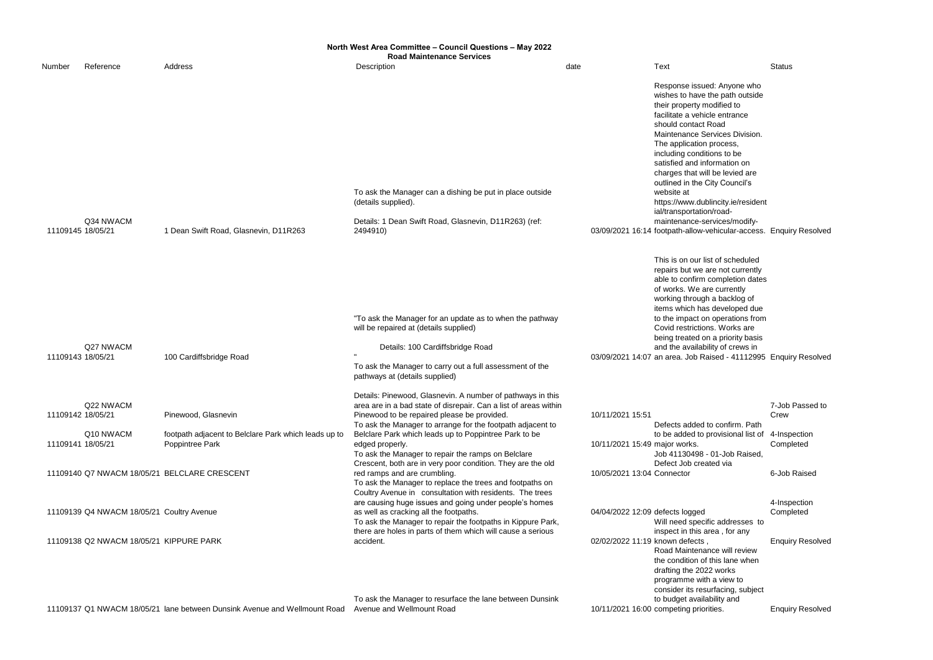**North West Area Committee – Council Questions – May 2022**

|                   |                                           |                                                                         | <b>Road Maintenance Services</b>                                                                                                                                                                                                     |                                 |                                                                                                                                                                                                                                                                                                                                                                                                                                                                                                                                   |                |
|-------------------|-------------------------------------------|-------------------------------------------------------------------------|--------------------------------------------------------------------------------------------------------------------------------------------------------------------------------------------------------------------------------------|---------------------------------|-----------------------------------------------------------------------------------------------------------------------------------------------------------------------------------------------------------------------------------------------------------------------------------------------------------------------------------------------------------------------------------------------------------------------------------------------------------------------------------------------------------------------------------|----------------|
| Number            | Reference                                 | Address                                                                 | Description                                                                                                                                                                                                                          | date                            | Text                                                                                                                                                                                                                                                                                                                                                                                                                                                                                                                              | Status         |
| 11109145 18/05/21 | Q34 NWACM                                 | 1 Dean Swift Road, Glasnevin, D11R263                                   | To ask the Manager can a dishing be put in place outside<br>(details supplied).<br>Details: 1 Dean Swift Road, Glasnevin, D11R263) (ref:<br>2494910)                                                                                 |                                 | Response issued: Anyone who<br>wishes to have the path outside<br>their property modified to<br>facilitate a vehicle entrance<br>should contact Road<br>Maintenance Services Division.<br>The application process,<br>including conditions to be<br>satisfied and information on<br>charges that will be levied are<br>outlined in the City Council's<br>website at<br>https://www.dublincity.ie/resident<br>ial/transportation/road-<br>maintenance-services/modify-<br>03/09/2021 16:14 footpath-allow-vehicular-access. Enquir |                |
| 11109143 18/05/21 | Q27 NWACM                                 | 100 Cardiffsbridge Road                                                 | "To ask the Manager for an update as to when the pathway<br>will be repaired at (details supplied)<br>Details: 100 Cardiffsbridge Road<br>To ask the Manager to carry out a full assessment of the<br>pathways at (details supplied) |                                 | This is on our list of scheduled<br>repairs but we are not currently<br>able to confirm completion dates<br>of works. We are currently<br>working through a backlog of<br>items which has developed due<br>to the impact on operations from<br>Covid restrictions. Works are<br>being treated on a priority basis<br>and the availability of crews in<br>03/09/2021 14:07 an area. Job Raised - 41112995 Enquir                                                                                                                   |                |
| 11109142 18/05/21 | Q22 NWACM                                 | Pinewood, Glasnevin                                                     | Details: Pinewood, Glasnevin. A number of pathways in this<br>area are in a bad state of disrepair. Can a list of areas within<br>Pinewood to be repaired please be provided.                                                        | 10/11/2021 15:51                |                                                                                                                                                                                                                                                                                                                                                                                                                                                                                                                                   | 7-Job<br>Crew  |
| 11109141 18/05/21 | Q10 NWACM                                 | footpath adjacent to Belclare Park which leads up to<br>Poppintree Park | To ask the Manager to arrange for the footpath adjacent to<br>Belclare Park which leads up to Poppintree Park to be<br>edged properly.<br>To ask the Manager to repair the ramps on Belclare                                         | 10/11/2021 15:49 major works.   | Defects added to confirm. Path<br>to be added to provisional list of<br>Job 41130498 - 01-Job Raised,                                                                                                                                                                                                                                                                                                                                                                                                                             | 4-Insp<br>Comp |
|                   |                                           | 11109140 Q7 NWACM 18/05/21 BELCLARE CRESCENT                            | Crescent, both are in very poor condition. They are the old<br>red ramps and are crumbling.<br>To ask the Manager to replace the trees and footpaths on<br>Coultry Avenue in consultation with residents. The trees                  | 10/05/2021 13:04 Connector      | Defect Job created via                                                                                                                                                                                                                                                                                                                                                                                                                                                                                                            | 6-Job          |
|                   | 11109139 Q4 NWACM 18/05/21 Coultry Avenue |                                                                         | are causing huge issues and going under people's homes<br>as well as cracking all the footpaths.<br>To ask the Manager to repair the footpaths in Kippure Park,<br>there are holes in parts of them which will cause a serious       | 04/04/2022 12:09 defects logged | Will need specific addresses to<br>inspect in this area, for any                                                                                                                                                                                                                                                                                                                                                                                                                                                                  | 4-Insp<br>Comp |

11109138 Q2 NWACM 18/05/21 KIPPURE PARK

11109137 Q1 NWACM 18/05/21 lane between Dunsink Avenue and Wellmount Road Avenue and Wellmount Road 10/11/2021 16:00

To ask the Manager to resurface the lane between Dunsink

sued: Anyone who ave the path outside y modified to ehicle entrance act Road **Services Division.** tion process, inditions to be information on t will be levied are ne City Council's dublincity.ie/resident ation/roade-services/modifyw-vehicular-access. Enquiry Resolved ur list of scheduled ve are not currently irm completion dates e are currently ugh a backlog of has developed due t on operations from tions. Works are d on a priority basis lability of crews in Raised - 41112995 Enquiry Resolved 7-Job Passed to Crew ed to confirm. Path to be added to provisional list of 4-Inspection Completed 98 - 01-Job Raised, reated via 6-Job Raised 4-Inspection **Completed** accident. **22/02/2022 11:19 known defects**, ecific addresses to inspect in this area , for any **Enquiry Resolved** Road Maintenance will review the condition of this lane when drafting the 2022 works programme with a view to consider its resurfacing, subject to budget availability and 10/11/2021 16:00 competing priorities. Enquiry Resolved